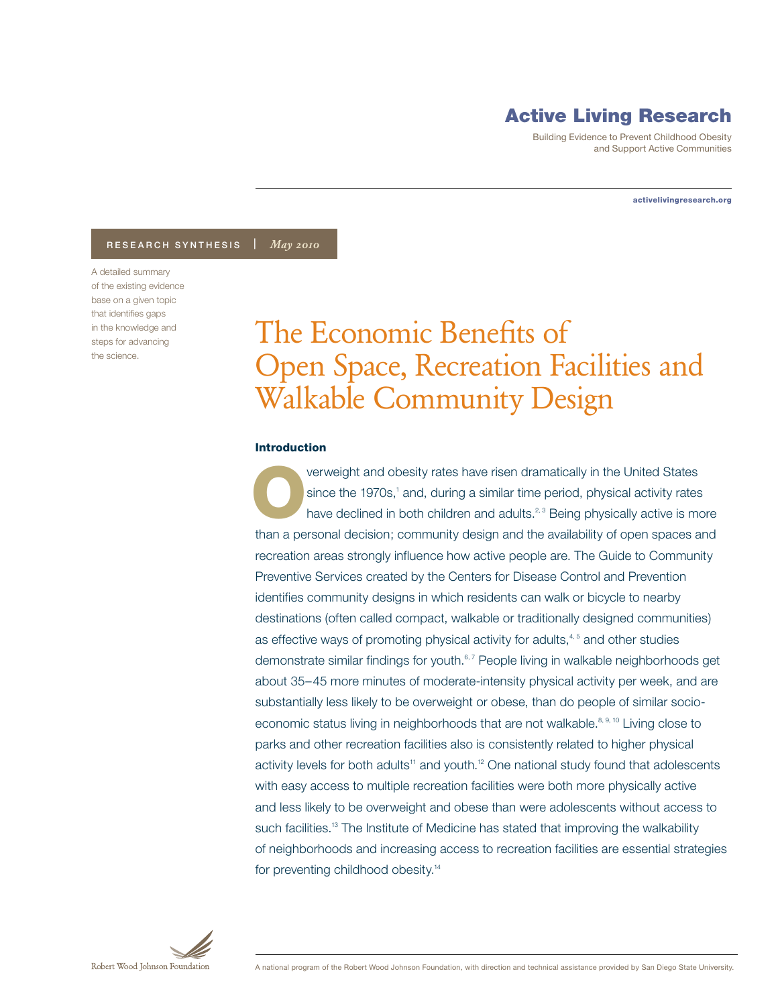# Active Living Research

Building Evidence to Prevent Childhood Obesity and Support Active Communities

#### activelivingresearch.org

#### RESEARCH SYNTHESIS | *May 2010*

A detailed summary of the existing evidence base on a given topic that identifies gaps in the knowledge and steps for advancing the science.

# The Economic Benefits of Open Space, Recreation Facilities and Walkable Community Design

#### Introduction

Verweight and obesity rates have risen dramatically in the United States<br>since the 1970s,' and, during a similar time period, physical activity rates<br>have declined in both children and adults.<sup>2,3</sup> Being physically active since the 1970s,<sup>1</sup> and, during a similar time period, physical activity rates have declined in both children and adults.<sup>2,3</sup> Being physically active is more than a personal decision; community design and the availability of open spaces and recreation areas strongly influence how active people are. The Guide to Community Preventive Services created by the Centers for Disease Control and Prevention identifies community designs in which residents can walk or bicycle to nearby destinations (often called compact, walkable or traditionally designed communities) as effective ways of promoting physical activity for adults,<sup>4,5</sup> and other studies demonstrate similar findings for youth.<sup>6, 7</sup> People living in walkable neighborhoods get about 35–45 more minutes of moderate-intensity physical activity per week, and are substantially less likely to be overweight or obese, than do people of similar socioeconomic status living in neighborhoods that are not walkable.<sup>8, 9, 10</sup> Living close to parks and other recreation facilities also is consistently related to higher physical activity levels for both adults<sup>11</sup> and youth.<sup>12</sup> One national study found that adolescents with easy access to multiple recreation facilities were both more physically active and less likely to be overweight and obese than were adolescents without access to such facilities.<sup>13</sup> The Institute of Medicine has stated that improving the walkability of neighborhoods and increasing access to recreation facilities are essential strategies for preventing childhood obesity.<sup>14</sup>

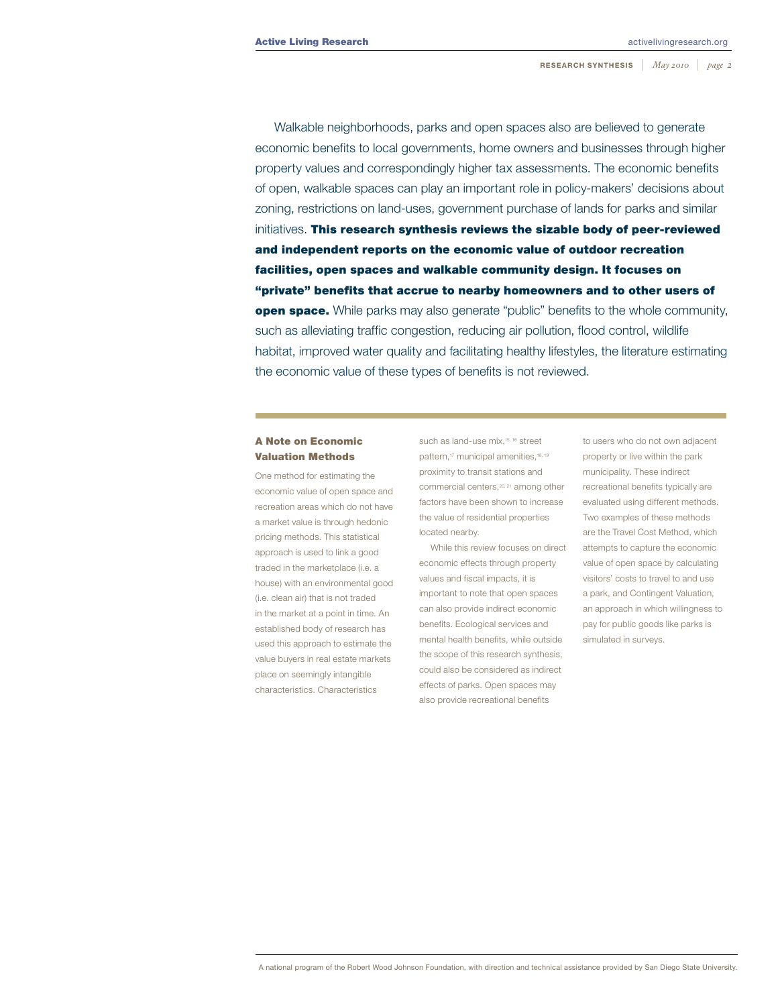Walkable neighborhoods, parks and open spaces also are believed to generate economic benefits to local governments, home owners and businesses through higher property values and correspondingly higher tax assessments. The economic benefits of open, walkable spaces can play an important role in policy-makers' decisions about zoning, restrictions on land-uses, government purchase of lands for parks and similar initiatives. This research synthesis reviews the sizable body of peer-reviewed and independent reports on the economic value of outdoor recreation facilities, open spaces and walkable community design. It focuses on "private" benefits that accrue to nearby homeowners and to other users of open space. While parks may also generate "public" benefits to the whole community, such as alleviating traffic congestion, reducing air pollution, flood control, wildlife habitat, improved water quality and facilitating healthy lifestyles, the literature estimating the economic value of these types of benefits is not reviewed.

#### A Note on Economic Valuation Methods

One method for estimating the economic value of open space and recreation areas which do not have a market value is through hedonic pricing methods. This statistical approach is used to link a good traded in the marketplace (i.e. a house) with an environmental good (i.e. clean air) that is not traded in the market at a point in time. An established body of research has used this approach to estimate the value buyers in real estate markets place on seemingly intangible characteristics. Characteristics

such as land-use mix,15, 16 street pattern,<sup>17</sup> municipal amenities,<sup>18, 19</sup> proximity to transit stations and commercial centers,20, 21 among other factors have been shown to increase the value of residential properties located nearby.

While this review focuses on direct economic effects through property values and fiscal impacts, it is important to note that open spaces can also provide indirect economic benefits. Ecological services and mental health benefits, while outside the scope of this research synthesis, could also be considered as indirect effects of parks. Open spaces may also provide recreational benefits

to users who do not own adjacent property or live within the park municipality. These indirect recreational benefits typically are evaluated using different methods. Two examples of these methods are the Travel Cost Method, which attempts to capture the economic value of open space by calculating visitors' costs to travel to and use a park, and Contingent Valuation, an approach in which willingness to pay for public goods like parks is simulated in surveys.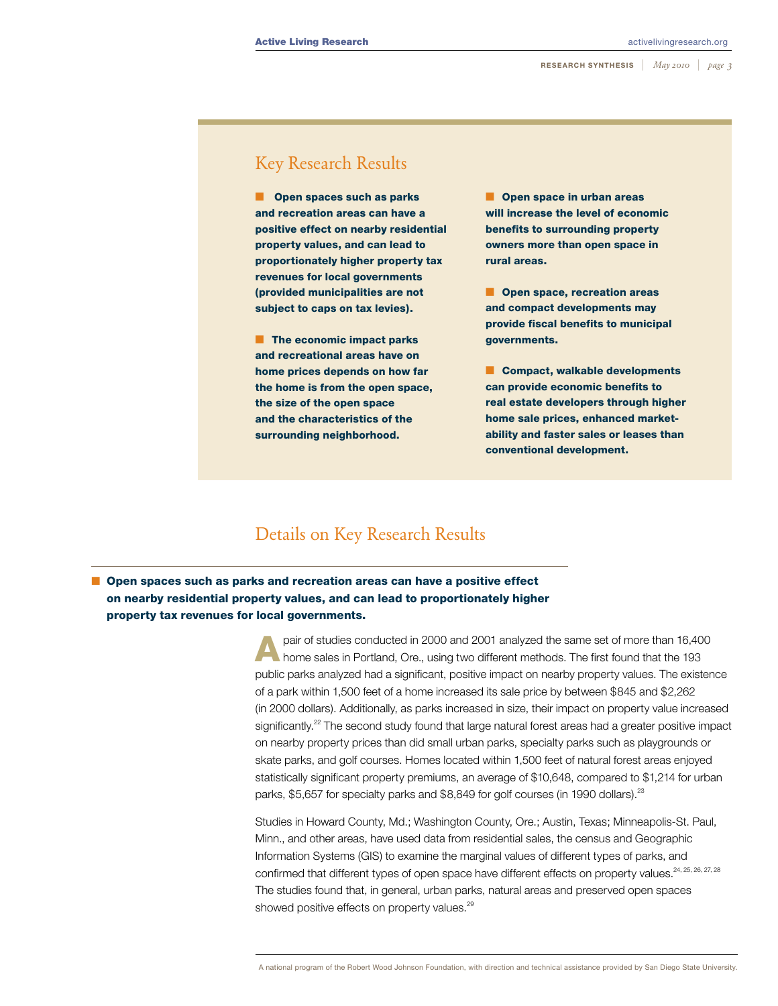### Key Research Results

 $\blacksquare$  Open spaces such as parks and recreation areas can have a positive effect on nearby residential property values, and can lead to proportionately higher property tax revenues for local governments (provided municipalities are not subject to caps on tax levies).

 $\blacksquare$  The economic impact parks and recreational areas have on home prices depends on how far the home is from the open space, the size of the open space and the characteristics of the surrounding neighborhood.

**n** Open space in urban areas will increase the level of economic benefits to surrounding property owners more than open space in rural areas.

**n** Open space, recreation areas and compact developments may provide fiscal benefits to municipal governments.

**n** Compact, walkable developments can provide economic benefits to real estate developers through higher home sale prices, enhanced marketability and faster sales or leases than conventional development.

# Details on Key Research Results

### **n** Open spaces such as parks and recreation areas can have a positive effect on nearby residential property values, and can lead to proportionately higher property tax revenues for local governments.

pair of studies conducted in 2000 and 2001 analyzed the same set of more than 16,400 home sales in Portland, Ore., using two different methods. The first found that the 193 public parks analyzed had a significant, positive impact on nearby property values. The existence of a park within 1,500 feet of a home increased its sale price by between \$845 and \$2,262 (in 2000 dollars). Additionally, as parks increased in size, their impact on property value increased significantly.<sup>22</sup> The second study found that large natural forest areas had a greater positive impact on nearby property prices than did small urban parks, specialty parks such as playgrounds or skate parks, and golf courses. Homes located within 1,500 feet of natural forest areas enjoyed statistically significant property premiums, an average of \$10,648, compared to \$1,214 for urban parks, \$5,657 for specialty parks and \$8,849 for golf courses (in 1990 dollars).<sup>23</sup>

Studies in Howard County, Md.; Washington County, Ore.; Austin, Texas; Minneapolis-St. Paul, Minn., and other areas, have used data from residential sales, the census and Geographic Information Systems (GIS) to examine the marginal values of different types of parks, and confirmed that different types of open space have different effects on property values.<sup>24, 25, 26, 27, 28</sup> The studies found that, in general, urban parks, natural areas and preserved open spaces showed positive effects on property values.<sup>29</sup>

A national program of the Robert Wood Johnson Foundation, with direction and technical assistance provided by San Diego State University.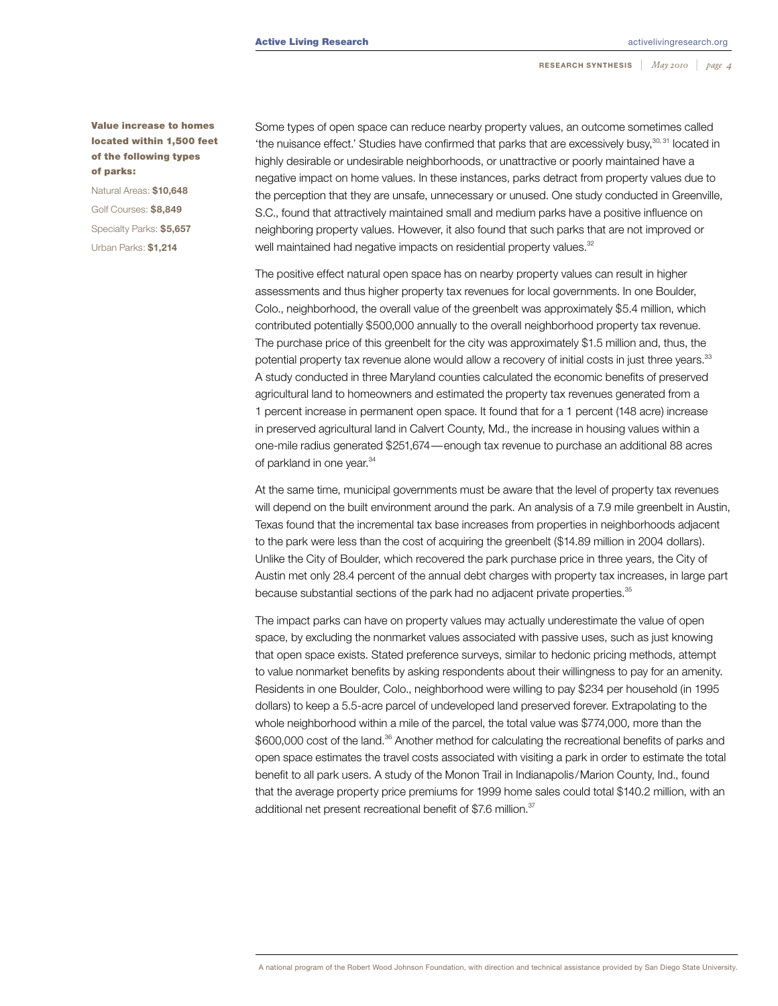#### Value increase to homes located within 1,500 feet of the following types of parks:

Natural Areas: **\$10,648** Golf Courses: **\$8,849** Specialty Parks: **\$5,657** Urban Parks: **\$1,214**

Some types of open space can reduce nearby property values, an outcome sometimes called 'the nuisance effect.' Studies have confirmed that parks that are excessively busy,<sup>30, 31</sup> located in highly desirable or undesirable neighborhoods, or unattractive or poorly maintained have a negative impact on home values. In these instances, parks detract from property values due to the perception that they are unsafe, unnecessary or unused. One study conducted in Greenville, S.C., found that attractively maintained small and medium parks have a positive influence on neighboring property values. However, it also found that such parks that are not improved or well maintained had negative impacts on residential property values.<sup>32</sup>

The positive effect natural open space has on nearby property values can result in higher assessments and thus higher property tax revenues for local governments. In one Boulder, Colo., neighborhood, the overall value of the greenbelt was approximately \$5.4 million, which contributed potentially \$500,000 annually to the overall neighborhood property tax revenue. The purchase price of this greenbelt for the city was approximately \$1.5 million and, thus, the potential property tax revenue alone would allow a recovery of initial costs in just three years.<sup>33</sup> A study conducted in three Maryland counties calculated the economic benefits of preserved agricultural land to homeowners and estimated the property tax revenues generated from a 1 percent increase in permanent open space. It found that for a 1 percent (148 acre) increase in preserved agricultural land in Calvert County, Md., the increase in housing values within a one-mile radius generated \$251,674—enough tax revenue to purchase an additional 88 acres of parkland in one year.<sup>34</sup>

At the same time, municipal governments must be aware that the level of property tax revenues will depend on the built environment around the park. An analysis of a 7.9 mile greenbelt in Austin, Texas found that the incremental tax base increases from properties in neighborhoods adjacent to the park were less than the cost of acquiring the greenbelt (\$14.89 million in 2004 dollars). Unlike the City of Boulder, which recovered the park purchase price in three years, the City of Austin met only 28.4 percent of the annual debt charges with property tax increases, in large part because substantial sections of the park had no adjacent private properties.<sup>35</sup>

The impact parks can have on property values may actually underestimate the value of open space, by excluding the nonmarket values associated with passive uses, such as just knowing that open space exists. Stated preference surveys, similar to hedonic pricing methods, attempt to value nonmarket benefits by asking respondents about their willingness to pay for an amenity. Residents in one Boulder, Colo., neighborhood were willing to pay \$234 per household (in 1995 dollars) to keep a 5.5-acre parcel of undeveloped land preserved forever. Extrapolating to the whole neighborhood within a mile of the parcel, the total value was \$774,000, more than the \$600,000 cost of the land.<sup>36</sup> Another method for calculating the recreational benefits of parks and open space estimates the travel costs associated with visiting a park in order to estimate the total benefit to all park users. A study of the Monon Trail in Indianapolis/Marion County, Ind., found that the average property price premiums for 1999 home sales could total \$140.2 million, with an additional net present recreational benefit of \$7.6 million.<sup>37</sup>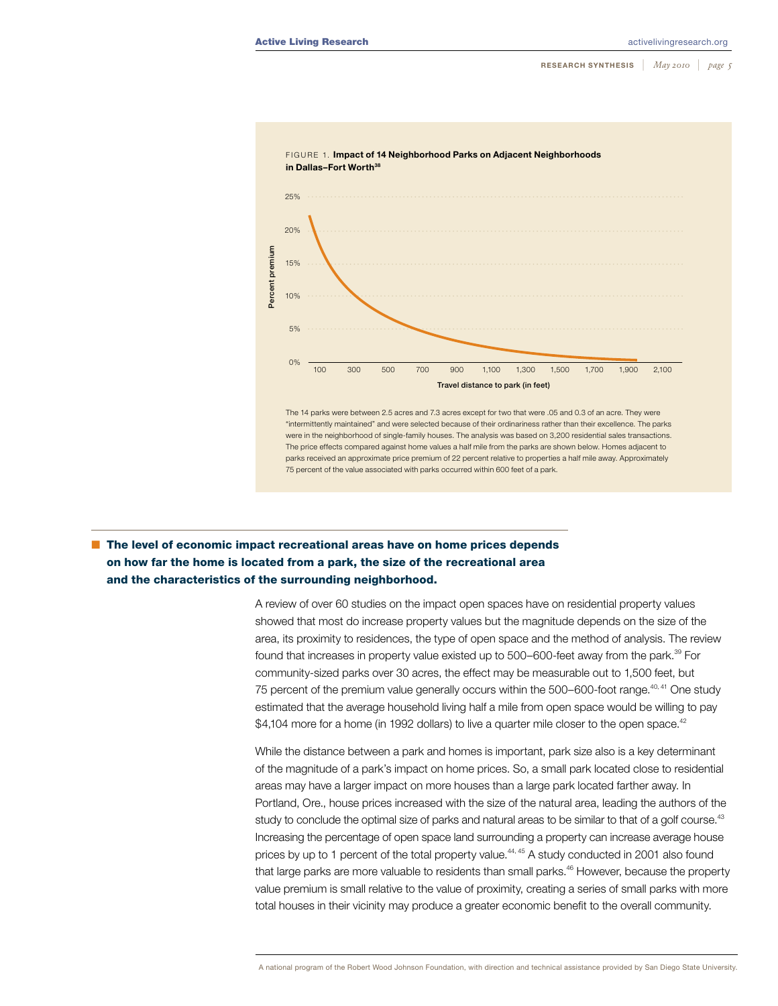**RESEARCH synthesis** | *May <sup>2010</sup>* | *page*



The 14 parks were between 2.5 acres and 7.3 acres except for two that were .05 and 0.3 of an acre. They were "intermittently maintained" and were selected because of their ordinariness rather than their excellence. The parks were in the neighborhood of single-family houses. The analysis was based on 3,200 residential sales transactions. The price effects compared against home values a half mile from the parks are shown below. Homes adjacent to parks received an approximate price premium of 22 percent relative to properties a half mile away. Approximately 75 percent of the value associated with parks occurred within 600 feet of a park.

### $\blacksquare$  The level of economic impact recreational areas have on home prices depends on how far the home is located from a park, the size of the recreational area and the characteristics of the surrounding neighborhood.

A review of over 60 studies on the impact open spaces have on residential property values showed that most do increase property values but the magnitude depends on the size of the area, its proximity to residences, the type of open space and the method of analysis. The review found that increases in property value existed up to 500–600-feet away from the park.<sup>39</sup> For community-sized parks over 30 acres, the effect may be measurable out to 1,500 feet, but 75 percent of the premium value generally occurs within the 500-600-foot range.<sup>40, 41</sup> One study estimated that the average household living half a mile from open space would be willing to pay \$4,104 more for a home (in 1992 dollars) to live a quarter mile closer to the open space.<sup>42</sup>

While the distance between a park and homes is important, park size also is a key determinant of the magnitude of a park's impact on home prices. So, a small park located close to residential areas may have a larger impact on more houses than a large park located farther away. In Portland, Ore., house prices increased with the size of the natural area, leading the authors of the study to conclude the optimal size of parks and natural areas to be similar to that of a golf course.<sup>43</sup> Increasing the percentage of open space land surrounding a property can increase average house prices by up to 1 percent of the total property value.<sup>44, 45</sup> A study conducted in 2001 also found that large parks are more valuable to residents than small parks.<sup>46</sup> However, because the property value premium is small relative to the value of proximity, creating a series of small parks with more total houses in their vicinity may produce a greater economic benefit to the overall community.

A national program of the Robert Wood Johnson Foundation, with direction and technical assistance provided by San Diego State University.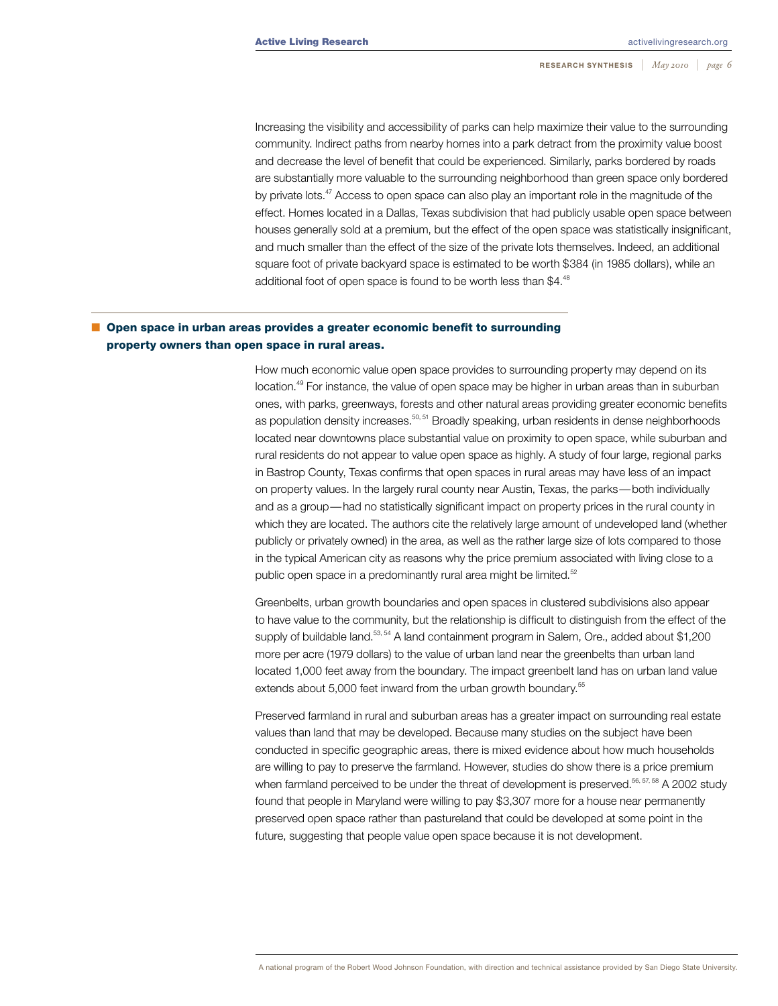Increasing the visibility and accessibility of parks can help maximize their value to the surrounding community. Indirect paths from nearby homes into a park detract from the proximity value boost and decrease the level of benefit that could be experienced. Similarly, parks bordered by roads are substantially more valuable to the surrounding neighborhood than green space only bordered by private lots.<sup>47</sup> Access to open space can also play an important role in the magnitude of the effect. Homes located in a Dallas, Texas subdivision that had publicly usable open space between houses generally sold at a premium, but the effect of the open space was statistically insignificant, and much smaller than the effect of the size of the private lots themselves. Indeed, an additional square foot of private backyard space is estimated to be worth \$384 (in 1985 dollars), while an additional foot of open space is found to be worth less than \$4.48

### $\blacksquare$  Open space in urban areas provides a greater economic benefit to surrounding property owners than open space in rural areas.

How much economic value open space provides to surrounding property may depend on its location.<sup>49</sup> For instance, the value of open space may be higher in urban areas than in suburban ones, with parks, greenways, forests and other natural areas providing greater economic benefits as population density increases.<sup>50, 51</sup> Broadly speaking, urban residents in dense neighborhoods located near downtowns place substantial value on proximity to open space, while suburban and rural residents do not appear to value open space as highly. A study of four large, regional parks in Bastrop County, Texas confirms that open spaces in rural areas may have less of an impact on property values. In the largely rural county near Austin, Texas, the parks—both individually and as a group—had no statistically significant impact on property prices in the rural county in which they are located. The authors cite the relatively large amount of undeveloped land (whether publicly or privately owned) in the area, as well as the rather large size of lots compared to those in the typical American city as reasons why the price premium associated with living close to a public open space in a predominantly rural area might be limited.<sup>52</sup>

Greenbelts, urban growth boundaries and open spaces in clustered subdivisions also appear to have value to the community, but the relationship is difficult to distinguish from the effect of the supply of buildable land.<sup>53, 54</sup> A land containment program in Salem, Ore., added about \$1,200 more per acre (1979 dollars) to the value of urban land near the greenbelts than urban land located 1,000 feet away from the boundary. The impact greenbelt land has on urban land value extends about 5,000 feet inward from the urban growth boundary.<sup>55</sup>

Preserved farmland in rural and suburban areas has a greater impact on surrounding real estate values than land that may be developed. Because many studies on the subject have been conducted in specific geographic areas, there is mixed evidence about how much households are willing to pay to preserve the farmland. However, studies do show there is a price premium when farmland perceived to be under the threat of development is preserved.<sup>56, 57, 58</sup> A 2002 study found that people in Maryland were willing to pay \$3,307 more for a house near permanently preserved open space rather than pastureland that could be developed at some point in the future, suggesting that people value open space because it is not development.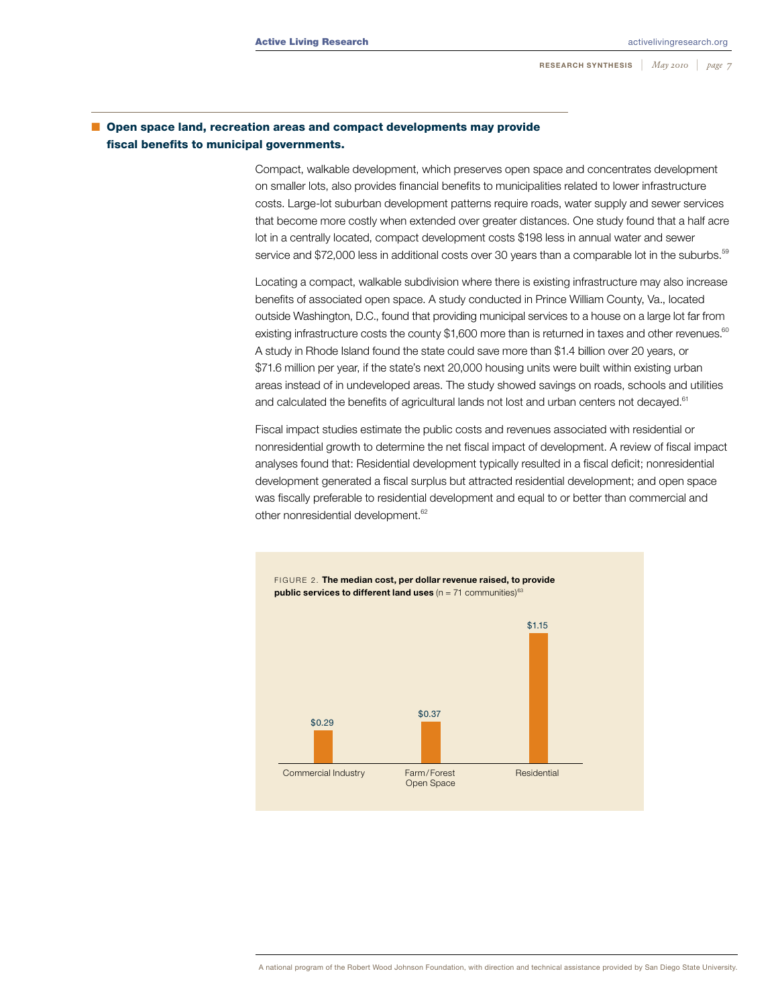#### $\blacksquare$  Open space land, recreation areas and compact developments may provide fiscal benefits to municipal governments.

Compact, walkable development, which preserves open space and concentrates development on smaller lots, also provides financial benefits to municipalities related to lower infrastructure costs. Large-lot suburban development patterns require roads, water supply and sewer services that become more costly when extended over greater distances. One study found that a half acre lot in a centrally located, compact development costs \$198 less in annual water and sewer service and \$72,000 less in additional costs over 30 years than a comparable lot in the suburbs.<sup>59</sup>

Locating a compact, walkable subdivision where there is existing infrastructure may also increase benefits of associated open space. A study conducted in Prince William County, Va., located outside Washington, D.C., found that providing municipal services to a house on a large lot far from existing infrastructure costs the county \$1,600 more than is returned in taxes and other revenues.<sup>60</sup> A study in Rhode Island found the state could save more than \$1.4 billion over 20 years, or \$71.6 million per year, if the state's next 20,000 housing units were built within existing urban areas instead of in undeveloped areas. The study showed savings on roads, schools and utilities and calculated the benefits of agricultural lands not lost and urban centers not decayed.<sup>61</sup>

Fiscal impact studies estimate the public costs and revenues associated with residential or nonresidential growth to determine the net fiscal impact of development. A review of fiscal impact analyses found that: Residential development typically resulted in a fiscal deficit; nonresidential development generated a fiscal surplus but attracted residential development; and open space was fiscally preferable to residential development and equal to or better than commercial and other nonresidential development.<sup>62</sup>

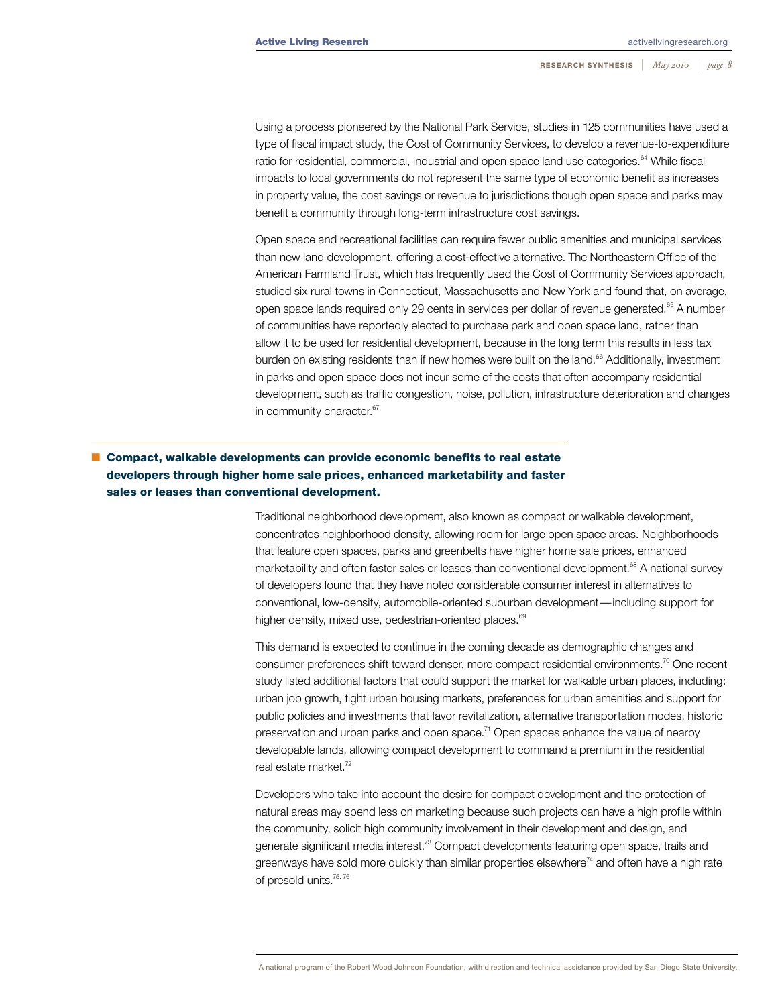Using a process pioneered by the National Park Service, studies in 125 communities have used a type of fiscal impact study, the Cost of Community Services, to develop a revenue-to-expenditure ratio for residential, commercial, industrial and open space land use categories.<sup>64</sup> While fiscal impacts to local governments do not represent the same type of economic benefit as increases in property value, the cost savings or revenue to jurisdictions though open space and parks may benefit a community through long-term infrastructure cost savings.

Open space and recreational facilities can require fewer public amenities and municipal services than new land development, offering a cost-effective alternative. The Northeastern Office of the American Farmland Trust, which has frequently used the Cost of Community Services approach, studied six rural towns in Connecticut, Massachusetts and New York and found that, on average, open space lands required only 29 cents in services per dollar of revenue generated.<sup>65</sup> A number of communities have reportedly elected to purchase park and open space land, rather than allow it to be used for residential development, because in the long term this results in less tax burden on existing residents than if new homes were built on the land.<sup>66</sup> Additionally, investment in parks and open space does not incur some of the costs that often accompany residential development, such as traffic congestion, noise, pollution, infrastructure deterioration and changes in community character.<sup>67</sup>

### $\blacksquare$  Compact, walkable developments can provide economic benefits to real estate developers through higher home sale prices, enhanced marketability and faster sales or leases than conventional development.

Traditional neighborhood development, also known as compact or walkable development, concentrates neighborhood density, allowing room for large open space areas. Neighborhoods that feature open spaces, parks and greenbelts have higher home sale prices, enhanced marketability and often faster sales or leases than conventional development.<sup>68</sup> A national survey of developers found that they have noted considerable consumer interest in alternatives to conventional, low-density, automobile-oriented suburban development—including support for higher density, mixed use, pedestrian-oriented places.<sup>69</sup>

This demand is expected to continue in the coming decade as demographic changes and consumer preferences shift toward denser, more compact residential environments.70 One recent study listed additional factors that could support the market for walkable urban places, including: urban job growth, tight urban housing markets, preferences for urban amenities and support for public policies and investments that favor revitalization, alternative transportation modes, historic preservation and urban parks and open space. $71$  Open spaces enhance the value of nearby developable lands, allowing compact development to command a premium in the residential real estate market.72

Developers who take into account the desire for compact development and the protection of natural areas may spend less on marketing because such projects can have a high profile within the community, solicit high community involvement in their development and design, and generate significant media interest.<sup>73</sup> Compact developments featuring open space, trails and greenways have sold more quickly than similar properties elsewhere<sup>74</sup> and often have a high rate of presold units.<sup>75, 76</sup>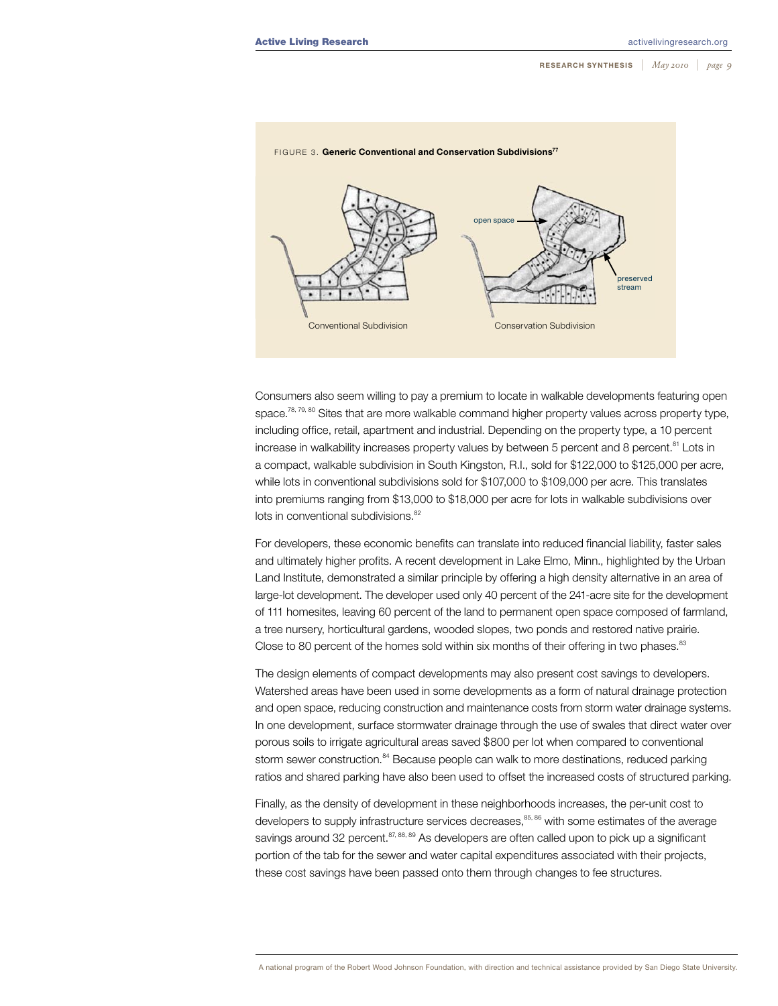

Consumers also seem willing to pay a premium to locate in walkable developments featuring open space.<sup>78, 79, 80</sup> Sites that are more walkable command higher property values across property type, including office, retail, apartment and industrial. Depending on the property type, a 10 percent increase in walkability increases property values by between 5 percent and 8 percent.<sup>81</sup> Lots in a compact, walkable subdivision in South Kingston, R.I., sold for \$122,000 to \$125,000 per acre, while lots in conventional subdivisions sold for \$107,000 to \$109,000 per acre. This translates into premiums ranging from \$13,000 to \$18,000 per acre for lots in walkable subdivisions over lots in conventional subdivisions.<sup>82</sup>

For developers, these economic benefits can translate into reduced financial liability, faster sales and ultimately higher profits. A recent development in Lake Elmo, Minn., highlighted by the Urban Land Institute, demonstrated a similar principle by offering a high density alternative in an area of large-lot development. The developer used only 40 percent of the 241-acre site for the development of 111 homesites, leaving 60 percent of the land to permanent open space composed of farmland, a tree nursery, horticultural gardens, wooded slopes, two ponds and restored native prairie. Close to 80 percent of the homes sold within six months of their offering in two phases.<sup>83</sup>

The design elements of compact developments may also present cost savings to developers. Watershed areas have been used in some developments as a form of natural drainage protection and open space, reducing construction and maintenance costs from storm water drainage systems. In one development, surface stormwater drainage through the use of swales that direct water over porous soils to irrigate agricultural areas saved \$800 per lot when compared to conventional storm sewer construction.<sup>84</sup> Because people can walk to more destinations, reduced parking ratios and shared parking have also been used to offset the increased costs of structured parking.

Finally, as the density of development in these neighborhoods increases, the per-unit cost to developers to supply infrastructure services decreases,<sup>85, 86</sup> with some estimates of the average savings around 32 percent.<sup>87, 88, 89</sup> As developers are often called upon to pick up a significant portion of the tab for the sewer and water capital expenditures associated with their projects, these cost savings have been passed onto them through changes to fee structures.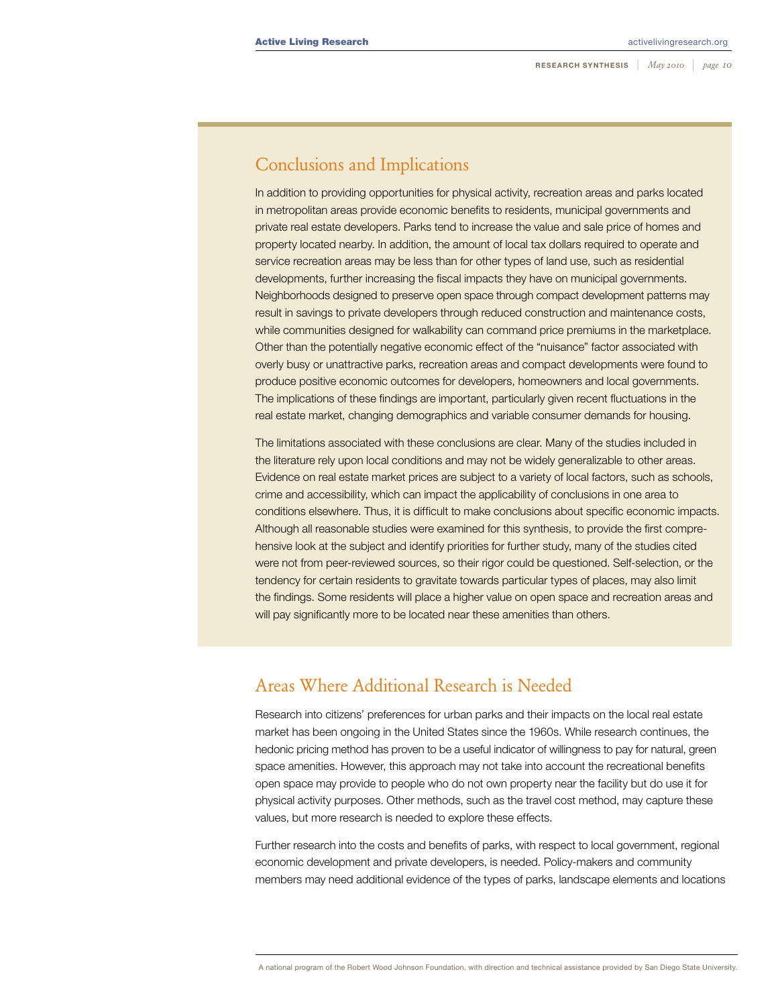### Conclusions and Implications

In addition to providing opportunities for physical activity, recreation areas and parks located in metropolitan areas provide economic benefits to residents, municipal governments and private real estate developers. Parks tend to increase the value and sale price of homes and property located nearby. In addition, the amount of local tax dollars required to operate and service recreation areas may be less than for other types of land use, such as residential developments, further increasing the fiscal impacts they have on municipal governments. Neighborhoods designed to preserve open space through compact development patterns may result in savings to private developers through reduced construction and maintenance costs, while communities designed for walkability can command price premiums in the marketplace. Other than the potentially negative economic effect of the "nuisance" factor associated with overly busy or unattractive parks, recreation areas and compact developments were found to produce positive economic outcomes for developers, homeowners and local governments. The implications of these findings are important, particularly given recent fluctuations in the real estate market, changing demographics and variable consumer demands for housing.

The limitations associated with these conclusions are clear. Many of the studies included in the literature rely upon local conditions and may not be widely generalizable to other areas. Evidence on real estate market prices are subject to a variety of local factors, such as schools, crime and accessibility, which can impact the applicability of conclusions in one area to conditions elsewhere. Thus, it is difficult to make conclusions about specific economic impacts. Although all reasonable studies were examined for this synthesis, to provide the first comprehensive look at the subject and identify priorities for further study, many of the studies cited were not from peer-reviewed sources, so their rigor could be questioned. Self-selection, or the tendency for certain residents to gravitate towards particular types of places, may also limit the findings. Some residents will place a higher value on open space and recreation areas and will pay significantly more to be located near these amenities than others.

### Areas Where Additional Research is Needed

Research into citizens' preferences for urban parks and their impacts on the local real estate market has been ongoing in the United States since the 1960s. While research continues, the hedonic pricing method has proven to be a useful indicator of willingness to pay for natural, green space amenities. However, this approach may not take into account the recreational benefits open space may provide to people who do not own property near the facility but do use it for physical activity purposes. Other methods, such as the travel cost method, may capture these values, but more research is needed to explore these effects.

Further research into the costs and benefits of parks, with respect to local government, regional economic development and private developers, is needed. Policy-makers and community members may need additional evidence of the types of parks, landscape elements and locations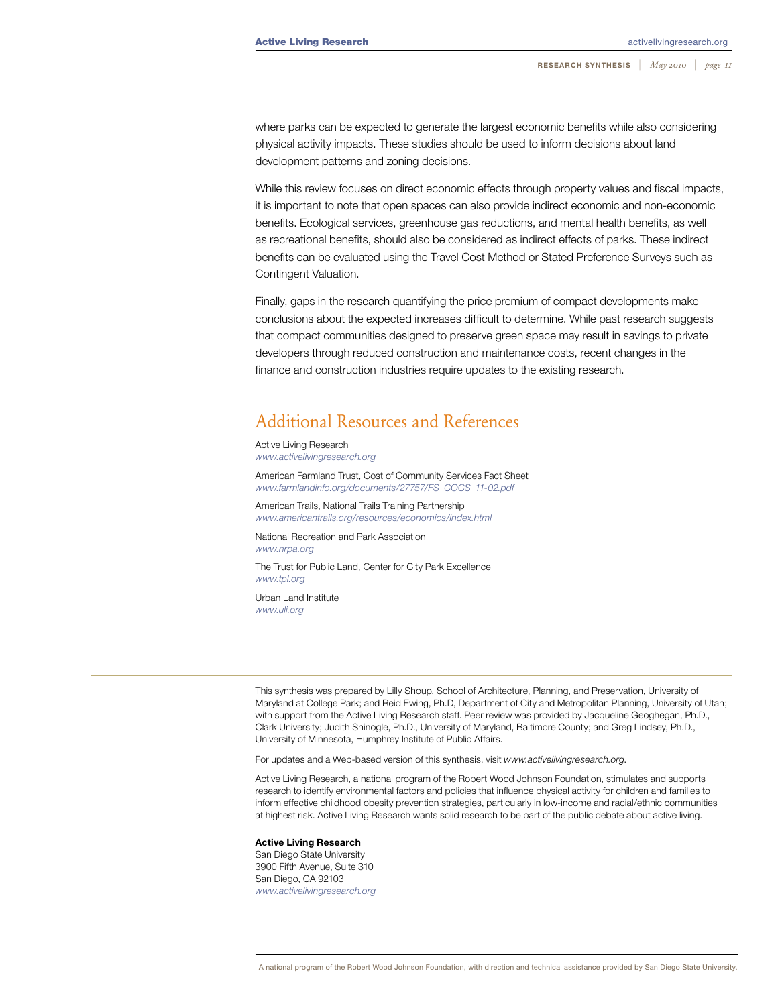where parks can be expected to generate the largest economic benefits while also considering physical activity impacts. These studies should be used to inform decisions about land development patterns and zoning decisions.

While this review focuses on direct economic effects through property values and fiscal impacts, it is important to note that open spaces can also provide indirect economic and non-economic benefits. Ecological services, greenhouse gas reductions, and mental health benefits, as well as recreational benefits, should also be considered as indirect effects of parks. These indirect benefits can be evaluated using the Travel Cost Method or Stated Preference Surveys such as Contingent Valuation.

Finally, gaps in the research quantifying the price premium of compact developments make conclusions about the expected increases difficult to determine. While past research suggests that compact communities designed to preserve green space may result in savings to private developers through reduced construction and maintenance costs, recent changes in the finance and construction industries require updates to the existing research.

# Additional Resources and References

Active Living Research *www.activelivingresearch.org* 

American Farmland Trust, Cost of Community Services Fact Sheet *www.farmlandinfo.org/documents/27757/FS\_COCS\_11-02.pdf* 

American Trails, National Trails Training Partnership *www.americantrails.org/resources/economics/index.html* 

National Recreation and Park Association *www.nrpa.org*

The Trust for Public Land, Center for City Park Excellence *www.tpl.org*

Urban Land Institute *www.uli.org* 

This synthesis was prepared by Lilly Shoup, School of Architecture, Planning, and Preservation, University of Maryland at College Park; and Reid Ewing, Ph.D, Department of City and Metropolitan Planning, University of Utah; with support from the Active Living Research staff. Peer review was provided by Jacqueline Geoghegan, Ph.D., Clark University; Judith Shinogle, Ph.D., University of Maryland, Baltimore County; and Greg Lindsey, Ph.D., University of Minnesota, Humphrey Institute of Public Affairs.

For updates and a Web-based version of this synthesis, visit *<www.activelivingresearch.org>*.

Active Living Research, a national program of the Robert Wood Johnson Foundation, stimulates and supports research to identify environmental factors and policies that influence physical activity for children and families to inform effective childhood obesity prevention strategies, particularly in low-income and racial/ethnic communities at highest risk. Active Living Research wants solid research to be part of the public debate about active living.

#### **Active Living Research**

San Diego State University 3900 Fifth Avenue, Suite 310 San Diego, CA 92103 *<www.activelivingresearch.org>*

A national program of the Robert Wood Johnson Foundation, with direction and technical assistance provided by San Diego State University.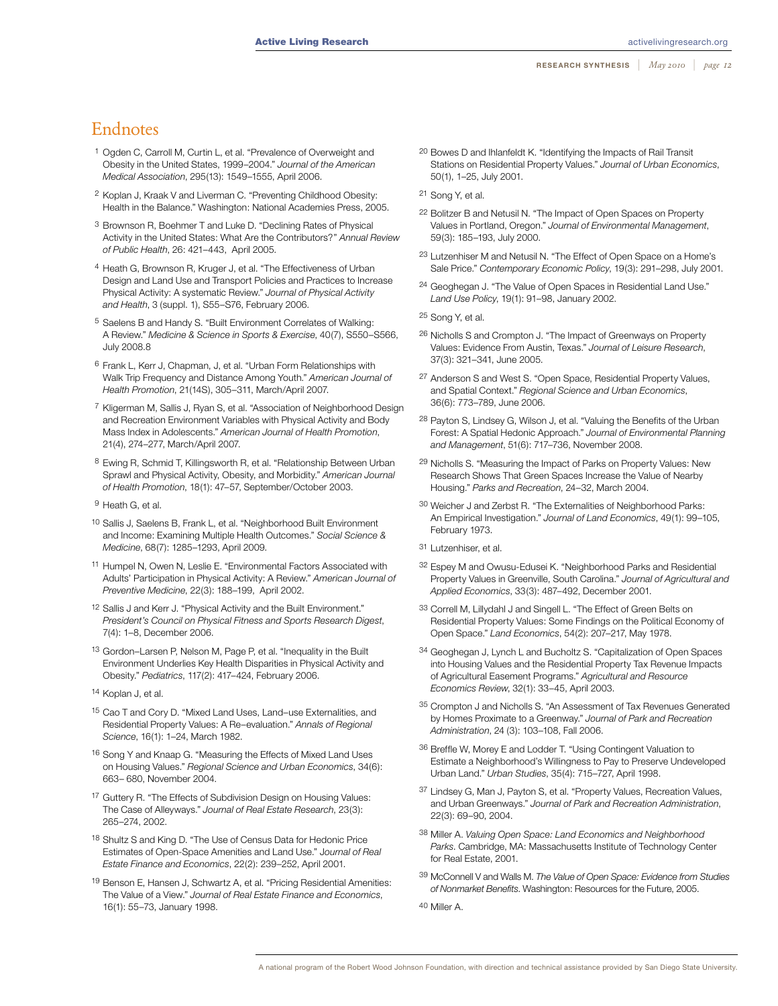### Endnotes

- 1 Ogden C, Carroll M, Curtin L, et al. "Prevalence of Overweight and Obesity in the United States, 1999–2004." *Journal of the American Medical Association*, 295(13): 1549–1555, April 2006.
- 2 Koplan J, Kraak V and Liverman C. "Preventing Childhood Obesity: Health in the Balance." Washington: National Academies Press, 2005.
- 3 Brownson R, Boehmer T and Luke D. "Declining Rates of Physical Activity in the United States: What Are the Contributors?" *Annual Review of Public Health*, 26: 421–443, April 2005.
- 4 Heath G, Brownson R, Kruger J, et al. "The Effectiveness of Urban Design and Land Use and Transport Policies and Practices to Increase Physical Activity: A systematic Review." *Journal of Physical Activity and Health*, 3 (suppl. 1), S55–S76, February 2006.
- 5 Saelens B and Handy S. "Built Environment Correlates of Walking: A Review." *Medicine & Science in Sports & Exercise*, 40(7), S550–S566, July 2008.8
- 6 Frank L, Kerr J, Chapman, J, et al. "Urban Form Relationships with Walk Trip Frequency and Distance Among Youth." *American Journal of Health Promotion*, 21(14S), 305–311, March/April 2007.
- 7 Kligerman M, Sallis J, Ryan S, et al. "Association of Neighborhood Design and Recreation Environment Variables with Physical Activity and Body Mass Index in Adolescents." *American Journal of Health Promotion*, 21(4), 274–277, March/April 2007.
- 8 Ewing R, Schmid T, Killingsworth R, et al. "Relationship Between Urban Sprawl and Physical Activity, Obesity, and Morbidity." *American Journal of Health Promotion*, 18(1): 47–57, September/October 2003.
- 9 Heath G, et al.
- 10 Sallis J, Saelens B, Frank L, et al. "Neighborhood Built Environment and Income: Examining Multiple Health Outcomes." *Social Science & Medicine*, 68(7): 1285–1293, April 2009.
- 11 Humpel N, Owen N, Leslie E. "Environmental Factors Associated with Adults' Participation in Physical Activity: A Review." *American Journal of Preventive Medicine*, 22(3): 188–199, April 2002.
- 12 Sallis J and Kerr J. "Physical Activity and the Built Environment." *President's Council on Physical Fitness and Sports Research Digest*, 7(4): 1–8, December 2006.
- 13 Gordon–Larsen P, Nelson M, Page P, et al. "Inequality in the Built Environment Underlies Key Health Disparities in Physical Activity and Obesity." *Pediatrics*, 117(2): 417–424, February 2006.
- 14 Koplan J, et al.
- 15 Cao T and Cory D. "Mixed Land Uses, Land–use Externalities, and Residential Property Values: A Re–evaluation." *Annals of Regional Science*, 16(1): 1–24, March 1982.
- 16 Song Y and Knaap G. "Measuring the Effects of Mixed Land Uses on Housing Values." *Regional Science and Urban Economics*, 34(6): 663– 680, November 2004.
- 17 Guttery R. "The Effects of Subdivision Design on Housing Values: The Case of Alleyways." *Journal of Real Estate Research*, 23(3): 265–274, 2002.
- 18 Shultz S and King D. "The Use of Census Data for Hedonic Price Estimates of Open-Space Amenities and Land Use." J*ournal of Real Estate Finance and Economics*, 22(2): 239–252, April 2001.
- 19 Benson E, Hansen J, Schwartz A, et al. "Pricing Residential Amenities: The Value of a View." *Journal of Real Estate Finance and Economics*, 16(1): 55–73, January 1998.
- 20 Bowes D and Ihlanfeldt K. "Identifying the Impacts of Rail Transit Stations on Residential Property Values." *Journal of Urban Economics*, 50(1), 1–25, July 2001.
- 21 Song Y, et al.
- 22 Bolitzer B and Netusil N. "The Impact of Open Spaces on Property Values in Portland, Oregon." *Journal of Environmental Management*, 59(3): 185–193, July 2000.
- 23 Lutzenhiser M and Netusil N. "The Effect of Open Space on a Home's Sale Price." *Contemporary Economic Policy*, 19(3): 291–298, July 2001.
- 24 Geoghegan J. "The Value of Open Spaces in Residential Land Use." *Land Use Policy*, 19(1): 91–98, January 2002.
- 25 Song Y, et al.
- 26 Nicholls S and Crompton J. "The Impact of Greenways on Property Values: Evidence From Austin, Texas." *Journal of Leisure Research*, 37(3): 321–341, June 2005.
- 27 Anderson S and West S. "Open Space, Residential Property Values, and Spatial Context." *Regional Science and Urban Economics*, 36(6): 773–789, June 2006.
- <sup>28</sup> Payton S, Lindsey G, Wilson J, et al. "Valuing the Benefits of the Urban Forest: A Spatial Hedonic Approach." *Journal of Environmental Planning and Management*, 51(6): 717–736, November 2008.
- 29 Nicholls S. "Measuring the Impact of Parks on Property Values: New Research Shows That Green Spaces Increase the Value of Nearby Housing." *Parks and Recreation*, 24–32, March 2004.
- 30 Weicher J and Zerbst R. "The Externalities of Neighborhood Parks: An Empirical Investigation." *Journal of Land Economics*, 49(1): 99–105, February 1973.
- 31 Lutzenhiser, et al.
- 32 Espey M and Owusu-Edusei K. "Neighborhood Parks and Residential Property Values in Greenville, South Carolina." *Journal of Agricultural and Applied Economics*, 33(3): 487–492, December 2001.
- 33 Correll M, Lillydahl J and Singell L. "The Effect of Green Belts on Residential Property Values: Some Findings on the Political Economy of Open Space." *Land Economics*, 54(2): 207–217, May 1978.
- 34 Geoghegan J, Lynch L and Bucholtz S. "Capitalization of Open Spaces into Housing Values and the Residential Property Tax Revenue Impacts of Agricultural Easement Programs." *Agricultural and Resource Economics Review*, 32(1): 33–45, April 2003.
- 35 Crompton J and Nicholls S. "An Assessment of Tax Revenues Generated by Homes Proximate to a Greenway." *Journal of Park and Recreation Administration*, 24 (3): 103–108, Fall 2006.
- 36 Breffle W, Morey E and Lodder T. "Using Contingent Valuation to Estimate a Neighborhood's Willingness to Pay to Preserve Undeveloped Urban Land." *Urban Studies*, 35(4): 715–727, April 1998.
- 37 Lindsey G, Man J, Payton S, et al. "Property Values, Recreation Values, and Urban Greenways." *Journal of Park and Recreation Administration*, 22(3): 69–90, 2004.
- 38 Miller A. *Valuing Open Space: Land Economics and Neighborhood Parks*. Cambridge, MA: Massachusetts Institute of Technology Center for Real Estate, 2001.
- 39 McConnell V and Walls M. *The Value of Open Space: Evidence from Studies of Nonmarket Benefits*. Washington: Resources for the Future, 2005.

40 Miller A.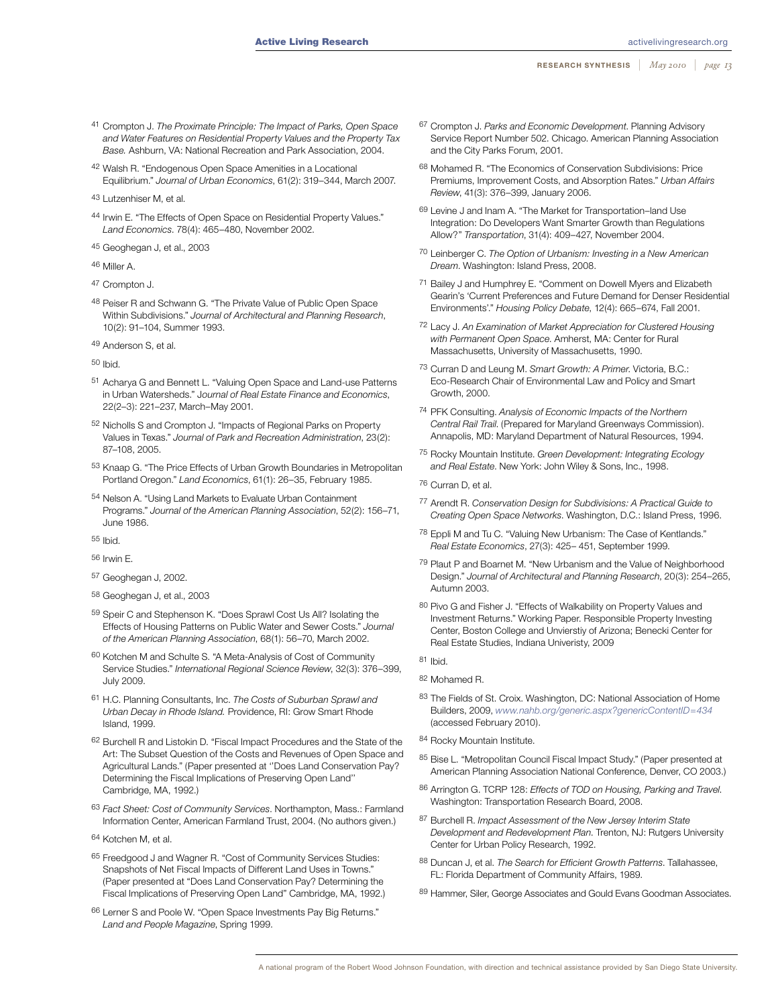- 41 Crompton J. *The Proximate Principle: The Impact of Parks, Open Space and Water Features on Residential Property Values and the Property Tax Base.* Ashburn, VA: National Recreation and Park Association, 2004.
- 42 Walsh R. "Endogenous Open Space Amenities in a Locational Equilibrium." *Journal of Urban Economics*, 61(2): 319–344, March 2007.
- 43 Lutzenhiser M, et al.
- 44 Irwin E. "The Effects of Open Space on Residential Property Values." *Land Economics*. 78(4): 465–480, November 2002.
- 45 Geoghegan J, et al., 2003
- 46 Miller A.
- 47 Crompton J.
- 48 Peiser R and Schwann G. "The Private Value of Public Open Space Within Subdivisions." *Journal of Architectural and Planning Research*, 10(2): 91–104, Summer 1993.
- 49 Anderson S, et al.

50 Ibid.

- 51 Acharya G and Bennett L. "Valuing Open Space and Land-use Patterns in Urban Watersheds." J*ournal of Real Estate Finance and Economics*, 22(2–3): 221–237, March–May 2001.
- 52 Nicholls S and Crompton J. "Impacts of Regional Parks on Property Values in Texas." *Journal of Park and Recreation Administration*, 23(2): 87–108, 2005.
- 53 Knaap G. "The Price Effects of Urban Growth Boundaries in Metropolitan Portland Oregon." *Land Economics*, 61(1): 26–35, February 1985.
- 54 Nelson A. "Using Land Markets to Evaluate Urban Containment Programs." *Journal of the American Planning Association*, 52(2): 156–71, June 1986.
- 55 Ibid.
- 56 Irwin E.
- 57 Geoghegan J, 2002.
- 58 Geoghegan J, et al., 2003
- 59 Speir C and Stephenson K. "Does Sprawl Cost Us All? Isolating the Effects of Housing Patterns on Public Water and Sewer Costs." *Journal of the American Planning Association*, 68(1): 56–70, March 2002.
- 60 Kotchen M and Schulte S. "A Meta-Analysis of Cost of Community Service Studies." *International Regional Science Review*, 32(3): 376–399, July 2009.
- 61 H.C. Planning Consultants, Inc. *The Costs of Suburban Sprawl and Urban Decay in Rhode Island.* Providence, RI: Grow Smart Rhode Island, 1999.
- 62 Burchell R and Listokin D. "Fiscal Impact Procedures and the State of the Art: The Subset Question of the Costs and Revenues of Open Space and Agricultural Lands." (Paper presented at ''Does Land Conservation Pay? Determining the Fiscal Implications of Preserving Open Land'' Cambridge, MA, 1992.)
- 63 *Fact Sheet: Cost of Community Services*. Northampton, Mass.: Farmland Information Center, American Farmland Trust, 2004. (No authors given.)
- 64 Kotchen M, et al.
- 65 Freedgood J and Wagner R. "Cost of Community Services Studies: Snapshots of Net Fiscal Impacts of Different Land Uses in Towns." (Paper presented at "Does Land Conservation Pay? Determining the Fiscal Implications of Preserving Open Land" Cambridge, MA, 1992.)
- 66 Lerner S and Poole W. "Open Space Investments Pay Big Returns." *Land and People Magazine*, Spring 1999.
- 67 Crompton J. *Parks and Economic Development*. Planning Advisory Service Report Number 502. Chicago. American Planning Association and the City Parks Forum, 2001.
- 68 Mohamed R. "The Economics of Conservation Subdivisions: Price Premiums, Improvement Costs, and Absorption Rates." *Urban Affairs Review*, 41(3): 376–399, January 2006.
- 69 Levine J and Inam A. "The Market for Transportation–land Use Integration: Do Developers Want Smarter Growth than Regulations Allow?" *Transportation*, 31(4): 409–427, November 2004.
- 70 Leinberger C. *The Option of Urbanism: Investing in a New American Dream*. Washington: Island Press, 2008.
- 71 Bailey J and Humphrey E. "Comment on Dowell Myers and Elizabeth Gearin's 'Current Preferences and Future Demand for Denser Residential Environments'." *Housing Policy Debate*, 12(4): 665–674, Fall 2001.
- 72 Lacy J. *An Examination of Market Appreciation for Clustered Housing with Permanent Open Space*. Amherst, MA: Center for Rural Massachusetts, University of Massachusetts, 1990.
- 73 Curran D and Leung M. *Smart Growth: A Primer*. Victoria, B.C.: Eco-Research Chair of Environmental Law and Policy and Smart Growth, 2000.
- 74 PFK Consulting. *Analysis of Economic Impacts of the Northern Central Rail Trail*. (Prepared for Maryland Greenways Commission). Annapolis, MD: Maryland Department of Natural Resources, 1994.
- 75 Rocky Mountain Institute. *Green Development: Integrating Ecology and Real Estate*. New York: John Wiley & Sons, Inc., 1998.
- 76 Curran D, et al.
- 77 Arendt R. *Conservation Design for Subdivisions: A Practical Guide to Creating Open Space Networks*. Washington, D.C.: Island Press, 1996.
- 78 Eppli M and Tu C. "Valuing New Urbanism: The Case of Kentlands." *Real Estate Economics*, 27(3): 425– 451, September 1999.
- 79 Plaut P and Boarnet M. "New Urbanism and the Value of Neighborhood Design." *Journal of Architectural and Planning Research*, 20(3): 254–265, Autumn 2003.
- 80 Pivo G and Fisher J. "Effects of Walkability on Property Values and Investment Returns." Working Paper. Responsible Property Investing Center, Boston College and Unvierstiy of Arizona; Benecki Center for Real Estate Studies, Indiana Univeristy, 2009
- 81 Ibid.
- 82 Mohamed R.
- 83 The Fields of St. Croix. Washington, DC: National Association of Home Builders, 2009, *www.nahb.org/generic.aspx?genericContentID=434* (accessed February 2010).
- 84 Rocky Mountain Institute.
- 85 Bise L. "Metropolitan Council Fiscal Impact Study." (Paper presented at American Planning Association National Conference, Denver, CO 2003.)
- 86 Arrington G. TCRP 128: *Effects of TOD on Housing, Parking and Travel*. Washington: Transportation Research Board, 2008.
- 87 Burchell R. *Impact Assessment of the New Jersey Interim State Development and Redevelopment Plan*. Trenton, NJ: Rutgers University Center for Urban Policy Research, 1992.
- 88 Duncan J, et al. *The Search for Efficient Growth Patterns*. Tallahassee, FL: Florida Department of Community Affairs, 1989.
- 89 Hammer, Siler, George Associates and Gould Evans Goodman Associates.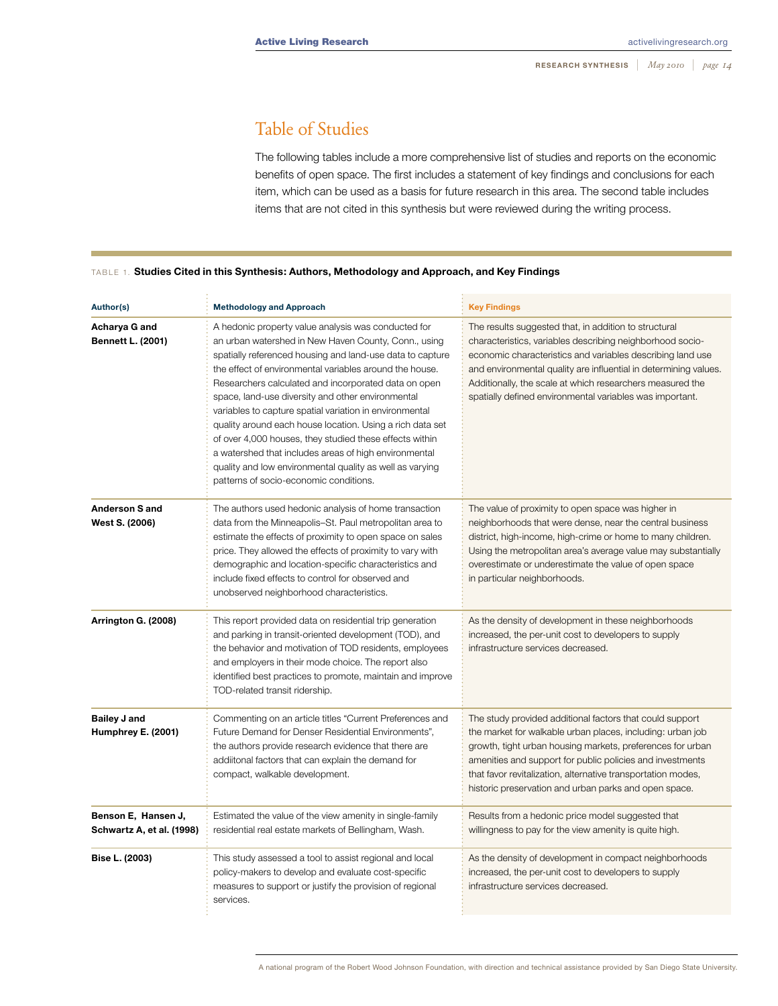# Table of Studies

The following tables include a more comprehensive list of studies and reports on the economic benefits of open space. The first includes a statement of key findings and conclusions for each item, which can be used as a basis for future research in this area. The second table includes items that are not cited in this synthesis but were reviewed during the writing process.

#### Table 1. **Studies Cited in this Synthesis: Authors, Methodology and Approach, and Key Findings**

| Author(s)                                        | <b>Methodology and Approach</b>                                                                                                                                                                                                                                                                                                                                                                                                                                                                                                                                                                                                                                                                    | <b>Key Findings</b>                                                                                                                                                                                                                                                                                                                                                           |
|--------------------------------------------------|----------------------------------------------------------------------------------------------------------------------------------------------------------------------------------------------------------------------------------------------------------------------------------------------------------------------------------------------------------------------------------------------------------------------------------------------------------------------------------------------------------------------------------------------------------------------------------------------------------------------------------------------------------------------------------------------------|-------------------------------------------------------------------------------------------------------------------------------------------------------------------------------------------------------------------------------------------------------------------------------------------------------------------------------------------------------------------------------|
| Acharya G and<br><b>Bennett L. (2001)</b>        | A hedonic property value analysis was conducted for<br>an urban watershed in New Haven County, Conn., using<br>spatially referenced housing and land-use data to capture<br>the effect of environmental variables around the house.<br>Researchers calculated and incorporated data on open<br>space, land-use diversity and other environmental<br>variables to capture spatial variation in environmental<br>quality around each house location. Using a rich data set<br>of over 4,000 houses, they studied these effects within<br>a watershed that includes areas of high environmental<br>quality and low environmental quality as well as varying<br>patterns of socio-economic conditions. | The results suggested that, in addition to structural<br>characteristics, variables describing neighborhood socio-<br>economic characteristics and variables describing land use<br>and environmental quality are influential in determining values.<br>Additionally, the scale at which researchers measured the<br>spatially defined environmental variables was important. |
| Anderson S and<br>West S. (2006)                 | The authors used hedonic analysis of home transaction<br>data from the Minneapolis-St. Paul metropolitan area to<br>estimate the effects of proximity to open space on sales<br>price. They allowed the effects of proximity to vary with<br>demographic and location-specific characteristics and<br>include fixed effects to control for observed and<br>unobserved neighborhood characteristics.                                                                                                                                                                                                                                                                                                | The value of proximity to open space was higher in<br>neighborhoods that were dense, near the central business<br>district, high-income, high-crime or home to many children.<br>Using the metropolitan area's average value may substantially<br>overestimate or underestimate the value of open space<br>in particular neighborhoods.                                       |
| Arrington G. (2008)                              | This report provided data on residential trip generation<br>and parking in transit-oriented development (TOD), and<br>the behavior and motivation of TOD residents, employees<br>and employers in their mode choice. The report also<br>identified best practices to promote, maintain and improve<br>TOD-related transit ridership.                                                                                                                                                                                                                                                                                                                                                               | As the density of development in these neighborhoods<br>increased, the per-unit cost to developers to supply<br>infrastructure services decreased.                                                                                                                                                                                                                            |
| <b>Bailey J and</b><br>Humphrey E. (2001)        | Commenting on an article titles "Current Preferences and<br>Future Demand for Denser Residential Environments",<br>the authors provide research evidence that there are<br>addiitonal factors that can explain the demand for<br>compact, walkable development.                                                                                                                                                                                                                                                                                                                                                                                                                                    | The study provided additional factors that could support<br>the market for walkable urban places, including: urban job<br>growth, tight urban housing markets, preferences for urban<br>amenities and support for public policies and investments<br>that favor revitalization, alternative transportation modes,<br>historic preservation and urban parks and open space.    |
| Benson E, Hansen J,<br>Schwartz A, et al. (1998) | Estimated the value of the view amenity in single-family<br>residential real estate markets of Bellingham, Wash.                                                                                                                                                                                                                                                                                                                                                                                                                                                                                                                                                                                   | Results from a hedonic price model suggested that<br>willingness to pay for the view amenity is quite high.                                                                                                                                                                                                                                                                   |
| Bise L. (2003)                                   | This study assessed a tool to assist regional and local<br>policy-makers to develop and evaluate cost-specific<br>measures to support or justify the provision of regional<br>services.                                                                                                                                                                                                                                                                                                                                                                                                                                                                                                            | As the density of development in compact neighborhoods<br>increased, the per-unit cost to developers to supply<br>infrastructure services decreased.                                                                                                                                                                                                                          |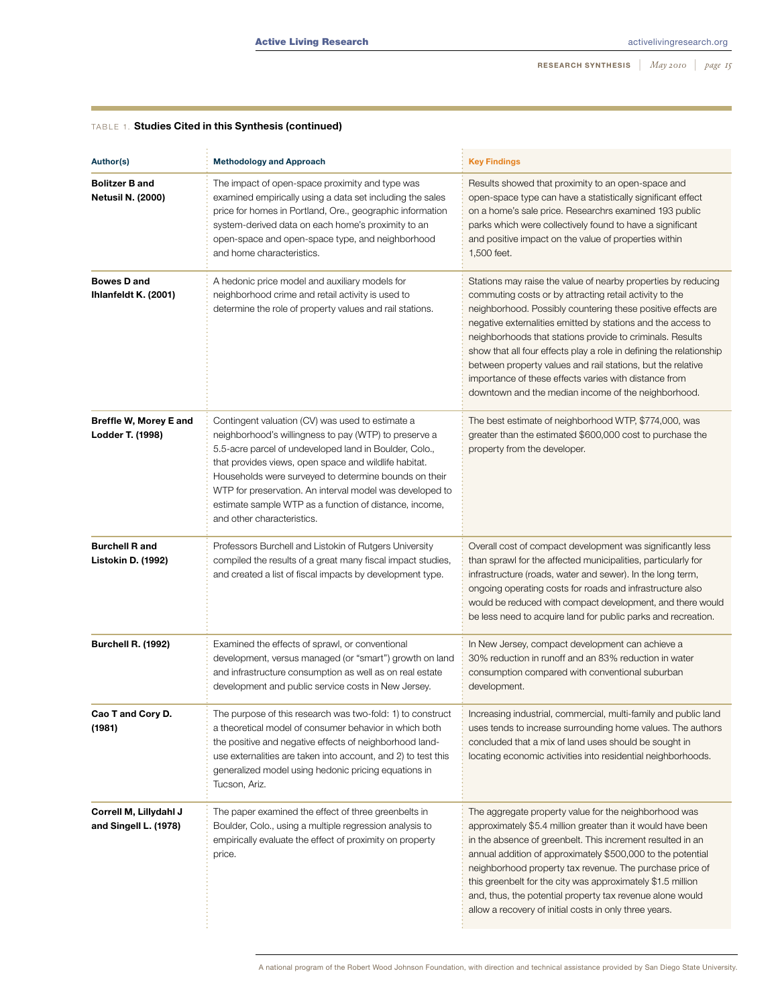| Author(s)                                         | <b>Methodology and Approach</b>                                                                                                                                                                                                                                                                                                                                                                                                           | <b>Key Findings</b>                                                                                                                                                                                                                                                                                                                                                                                                                                                                                                                                                         |
|---------------------------------------------------|-------------------------------------------------------------------------------------------------------------------------------------------------------------------------------------------------------------------------------------------------------------------------------------------------------------------------------------------------------------------------------------------------------------------------------------------|-----------------------------------------------------------------------------------------------------------------------------------------------------------------------------------------------------------------------------------------------------------------------------------------------------------------------------------------------------------------------------------------------------------------------------------------------------------------------------------------------------------------------------------------------------------------------------|
| <b>Bolitzer B and</b><br><b>Netusil N. (2000)</b> | The impact of open-space proximity and type was<br>examined empirically using a data set including the sales<br>price for homes in Portland, Ore., geographic information<br>system-derived data on each home's proximity to an<br>open-space and open-space type, and neighborhood<br>and home characteristics.                                                                                                                          | Results showed that proximity to an open-space and<br>open-space type can have a statistically significant effect<br>on a home's sale price. Researchrs examined 193 public<br>parks which were collectively found to have a significant<br>and positive impact on the value of properties within<br>1,500 feet.                                                                                                                                                                                                                                                            |
| <b>Bowes D and</b><br>Ihlanfeldt K. (2001)        | A hedonic price model and auxiliary models for<br>neighborhood crime and retail activity is used to<br>determine the role of property values and rail stations.                                                                                                                                                                                                                                                                           | Stations may raise the value of nearby properties by reducing<br>commuting costs or by attracting retail activity to the<br>neighborhood. Possibly countering these positive effects are<br>negative externalities emitted by stations and the access to<br>neighborhoods that stations provide to criminals. Results<br>show that all four effects play a role in defining the relationship<br>between property values and rail stations, but the relative<br>importance of these effects varies with distance from<br>downtown and the median income of the neighborhood. |
| Breffle W, Morey E and<br>Lodder T. (1998)        | Contingent valuation (CV) was used to estimate a<br>neighborhood's willingness to pay (WTP) to preserve a<br>5.5-acre parcel of undeveloped land in Boulder, Colo.,<br>that provides views, open space and wildlife habitat.<br>Households were surveyed to determine bounds on their<br>WTP for preservation. An interval model was developed to<br>estimate sample WTP as a function of distance, income,<br>and other characteristics. | The best estimate of neighborhood WTP, \$774,000, was<br>greater than the estimated \$600,000 cost to purchase the<br>property from the developer.                                                                                                                                                                                                                                                                                                                                                                                                                          |
| <b>Burchell R and</b><br>Listokin D. (1992)       | Professors Burchell and Listokin of Rutgers University<br>compiled the results of a great many fiscal impact studies,<br>and created a list of fiscal impacts by development type.                                                                                                                                                                                                                                                        | Overall cost of compact development was significantly less<br>than sprawl for the affected municipalities, particularly for<br>infrastructure (roads, water and sewer). In the long term,<br>ongoing operating costs for roads and infrastructure also<br>would be reduced with compact development, and there would<br>be less need to acquire land for public parks and recreation.                                                                                                                                                                                       |
| <b>Burchell R. (1992)</b>                         | Examined the effects of sprawl, or conventional<br>development, versus managed (or "smart") growth on land<br>and infrastructure consumption as well as on real estate<br>development and public service costs in New Jersey.                                                                                                                                                                                                             | In New Jersey, compact development can achieve a<br>30% reduction in runoff and an 83% reduction in water<br>consumption compared with conventional suburban<br>development.                                                                                                                                                                                                                                                                                                                                                                                                |
| Cao T and Cory D.<br>(1981)                       | The purpose of this research was two-fold: 1) to construct<br>a theoretical model of consumer behavior in which both<br>the positive and negative effects of neighborhood land-<br>use externalities are taken into account, and 2) to test this<br>generalized model using hedonic pricing equations in<br>Tucson, Ariz.                                                                                                                 | Increasing industrial, commercial, multi-family and public land<br>uses tends to increase surrounding home values. The authors<br>concluded that a mix of land uses should be sought in<br>locating economic activities into residential neighborhoods.                                                                                                                                                                                                                                                                                                                     |
| Correll M, Lillydahl J<br>and Singell L. (1978)   | The paper examined the effect of three greenbelts in<br>Boulder, Colo., using a multiple regression analysis to<br>empirically evaluate the effect of proximity on property<br>price.                                                                                                                                                                                                                                                     | The aggregate property value for the neighborhood was<br>approximately \$5.4 million greater than it would have been<br>in the absence of greenbelt. This increment resulted in an<br>annual addition of approximately \$500,000 to the potential<br>neighborhood property tax revenue. The purchase price of<br>this greenbelt for the city was approximately \$1.5 million<br>and, thus, the potential property tax revenue alone would<br>allow a recovery of initial costs in only three years.                                                                         |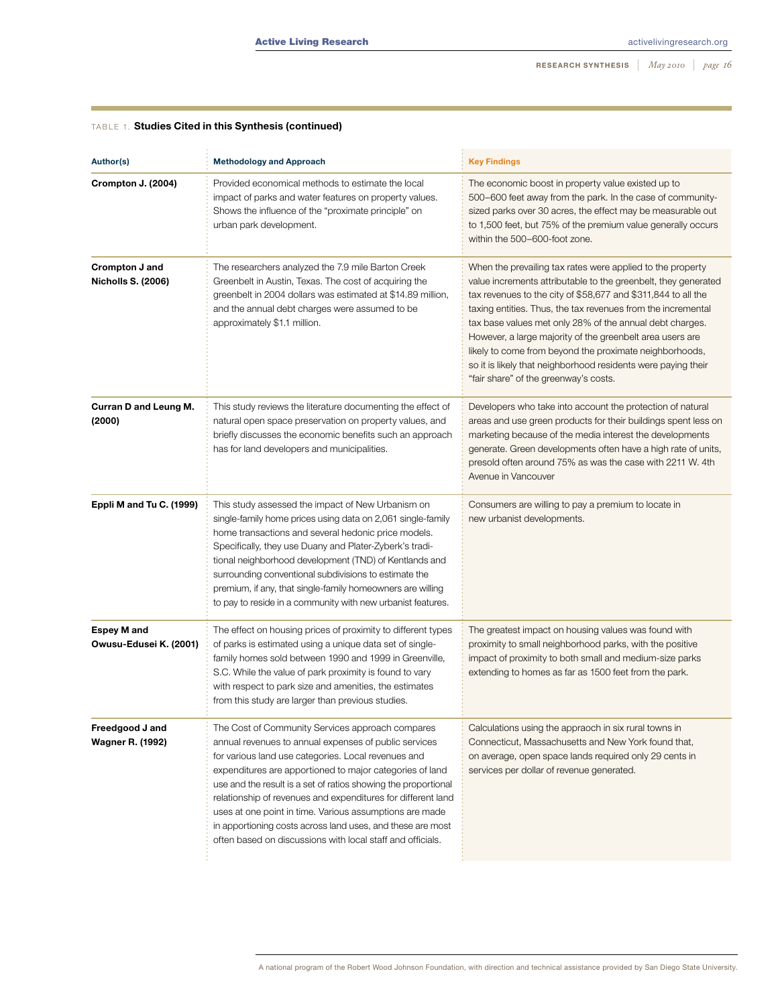| Author(s)                                    | <b>Methodology and Approach</b>                                                                                                                                                                                                                                                                                                                                                                                                                                                                                                                       | <b>Key Findings</b>                                                                                                                                                                                                                                                                                                                                                                                                                                                                                                                                         |
|----------------------------------------------|-------------------------------------------------------------------------------------------------------------------------------------------------------------------------------------------------------------------------------------------------------------------------------------------------------------------------------------------------------------------------------------------------------------------------------------------------------------------------------------------------------------------------------------------------------|-------------------------------------------------------------------------------------------------------------------------------------------------------------------------------------------------------------------------------------------------------------------------------------------------------------------------------------------------------------------------------------------------------------------------------------------------------------------------------------------------------------------------------------------------------------|
| Crompton J. (2004)                           | Provided economical methods to estimate the local<br>impact of parks and water features on property values.<br>Shows the influence of the "proximate principle" on<br>urban park development.                                                                                                                                                                                                                                                                                                                                                         | The economic boost in property value existed up to<br>500–600 feet away from the park. In the case of community-<br>sized parks over 30 acres, the effect may be measurable out<br>to 1,500 feet, but 75% of the premium value generally occurs<br>within the 500-600-foot zone.                                                                                                                                                                                                                                                                            |
| Crompton J and<br><b>Nicholls S. (2006)</b>  | The researchers analyzed the 7.9 mile Barton Creek<br>Greenbelt in Austin, Texas. The cost of acquiring the<br>greenbelt in 2004 dollars was estimated at \$14.89 million,<br>and the annual debt charges were assumed to be<br>approximately \$1.1 million.                                                                                                                                                                                                                                                                                          | When the prevailing tax rates were applied to the property<br>value increments attributable to the greenbelt, they generated<br>tax revenues to the city of \$58,677 and \$311,844 to all the<br>taxing entities. Thus, the tax revenues from the incremental<br>tax base values met only 28% of the annual debt charges.<br>However, a large majority of the greenbelt area users are<br>likely to come from beyond the proximate neighborhoods,<br>so it is likely that neighborhood residents were paying their<br>"fair share" of the greenway's costs. |
| Curran D and Leung M.<br>(2000)              | This study reviews the literature documenting the effect of<br>natural open space preservation on property values, and<br>briefly discusses the economic benefits such an approach<br>has for land developers and municipalities.                                                                                                                                                                                                                                                                                                                     | Developers who take into account the protection of natural<br>areas and use green products for their buildings spent less on<br>marketing because of the media interest the developments<br>generate. Green developments often have a high rate of units,<br>presold often around 75% as was the case with 2211 W. 4th<br>Avenue in Vancouver                                                                                                                                                                                                               |
| Eppli M and Tu C. (1999)                     | This study assessed the impact of New Urbanism on<br>single-family home prices using data on 2,061 single-family<br>home transactions and several hedonic price models.<br>Specifically, they use Duany and Plater-Zyberk's tradi-<br>tional neighborhood development (TND) of Kentlands and<br>surrounding conventional subdivisions to estimate the<br>premium, if any, that single-family homeowners are willing<br>to pay to reside in a community with new urbanist features.                                                                    | Consumers are willing to pay a premium to locate in<br>new urbanist developments.                                                                                                                                                                                                                                                                                                                                                                                                                                                                           |
| <b>Espey M and</b><br>Owusu-Edusei K. (2001) | The effect on housing prices of proximity to different types<br>of parks is estimated using a unique data set of single-<br>family homes sold between 1990 and 1999 in Greenville,<br>S.C. While the value of park proximity is found to vary<br>with respect to park size and amenities, the estimates<br>from this study are larger than previous studies.                                                                                                                                                                                          | The greatest impact on housing values was found with<br>proximity to small neighborhood parks, with the positive<br>impact of proximity to both small and medium-size parks<br>extending to homes as far as 1500 feet from the park.                                                                                                                                                                                                                                                                                                                        |
| Freedgood J and<br><b>Wagner R. (1992)</b>   | The Cost of Community Services approach compares<br>annual revenues to annual expenses of public services<br>for various land use categories. Local revenues and<br>expenditures are apportioned to major categories of land<br>use and the result is a set of ratios showing the proportional<br>relationship of revenues and expenditures for different land<br>uses at one point in time. Various assumptions are made<br>in apportioning costs across land uses, and these are most<br>often based on discussions with local staff and officials. | Calculations using the appraoch in six rural towns in<br>Connecticut, Massachusetts and New York found that,<br>on average, open space lands required only 29 cents in<br>services per dollar of revenue generated.                                                                                                                                                                                                                                                                                                                                         |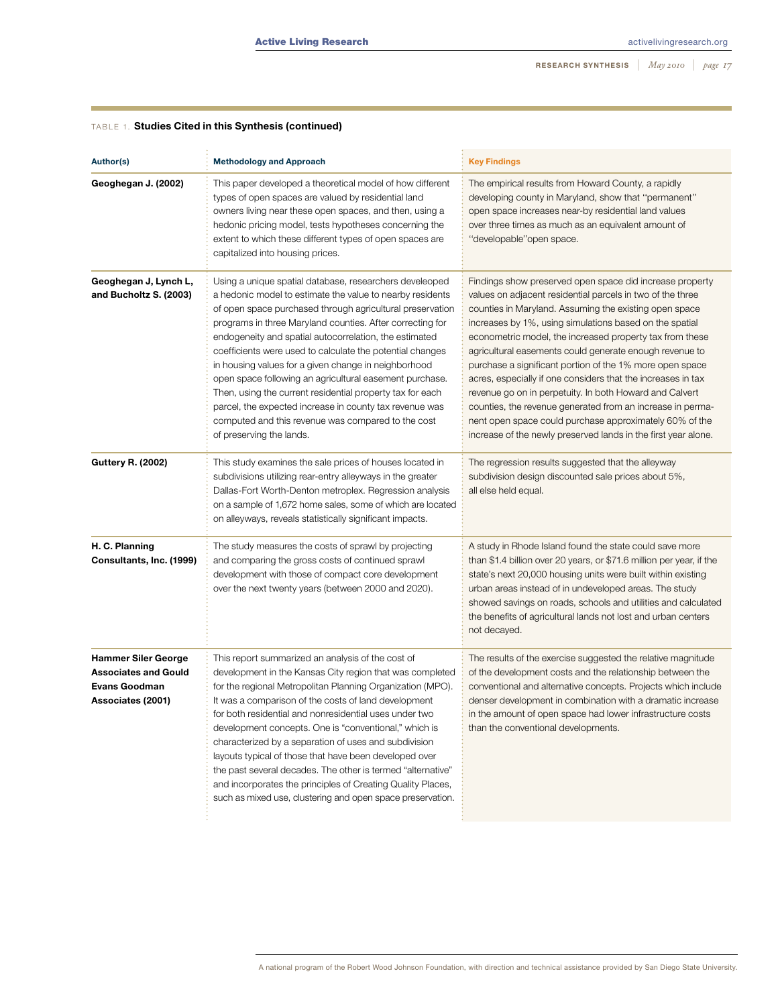| Author(s)                                                                                              | <b>Methodology and Approach</b>                                                                                                                                                                                                                                                                                                                                                                                                                                                                                                                                                                                                                                                                    | <b>Key Findings</b>                                                                                                                                                                                                                                                                                                                                                                                                                                                                                                                                                                                                                                                                                                                                  |
|--------------------------------------------------------------------------------------------------------|----------------------------------------------------------------------------------------------------------------------------------------------------------------------------------------------------------------------------------------------------------------------------------------------------------------------------------------------------------------------------------------------------------------------------------------------------------------------------------------------------------------------------------------------------------------------------------------------------------------------------------------------------------------------------------------------------|------------------------------------------------------------------------------------------------------------------------------------------------------------------------------------------------------------------------------------------------------------------------------------------------------------------------------------------------------------------------------------------------------------------------------------------------------------------------------------------------------------------------------------------------------------------------------------------------------------------------------------------------------------------------------------------------------------------------------------------------------|
| Geoghegan J. (2002)                                                                                    | This paper developed a theoretical model of how different<br>types of open spaces are valued by residential land<br>owners living near these open spaces, and then, using a<br>hedonic pricing model, tests hypotheses concerning the<br>extent to which these different types of open spaces are<br>capitalized into housing prices.                                                                                                                                                                                                                                                                                                                                                              | The empirical results from Howard County, a rapidly<br>developing county in Maryland, show that "permanent"<br>open space increases near-by residential land values<br>over three times as much as an equivalent amount of<br>'developable''open space.                                                                                                                                                                                                                                                                                                                                                                                                                                                                                              |
| Geoghegan J, Lynch L,<br>and Bucholtz S. (2003)                                                        | Using a unique spatial database, researchers develeoped<br>a hedonic model to estimate the value to nearby residents<br>of open space purchased through agricultural preservation<br>programs in three Maryland counties. After correcting for<br>endogeneity and spatial autocorrelation, the estimated<br>coefficients were used to calculate the potential changes<br>in housing values for a given change in neighborhood<br>open space following an agricultural easement purchase.<br>Then, using the current residential property tax for each<br>parcel, the expected increase in county tax revenue was<br>computed and this revenue was compared to the cost<br>of preserving the lands. | Findings show preserved open space did increase property<br>values on adjacent residential parcels in two of the three<br>counties in Maryland. Assuming the existing open space<br>increases by 1%, using simulations based on the spatial<br>econometric model, the increased property tax from these<br>agricultural easements could generate enough revenue to<br>purchase a significant portion of the 1% more open space<br>acres, especially if one considers that the increases in tax<br>revenue go on in perpetuity. In both Howard and Calvert<br>counties, the revenue generated from an increase in perma-<br>nent open space could purchase approximately 60% of the<br>increase of the newly preserved lands in the first year alone. |
| <b>Guttery R. (2002)</b>                                                                               | This study examines the sale prices of houses located in<br>subdivisions utilizing rear-entry alleyways in the greater<br>Dallas-Fort Worth-Denton metroplex. Regression analysis<br>on a sample of 1,672 home sales, some of which are located<br>on alleyways, reveals statistically significant impacts.                                                                                                                                                                                                                                                                                                                                                                                        | The regression results suggested that the alleyway<br>subdivision design discounted sale prices about 5%,<br>all else held equal.                                                                                                                                                                                                                                                                                                                                                                                                                                                                                                                                                                                                                    |
| H. C. Planning<br>Consultants, Inc. (1999)                                                             | The study measures the costs of sprawl by projecting<br>and comparing the gross costs of continued sprawl<br>development with those of compact core development<br>over the next twenty years (between 2000 and 2020).                                                                                                                                                                                                                                                                                                                                                                                                                                                                             | A study in Rhode Island found the state could save more<br>than \$1.4 billion over 20 years, or \$71.6 million per year, if the<br>state's next 20,000 housing units were built within existing<br>urban areas instead of in undeveloped areas. The study<br>showed savings on roads, schools and utilities and calculated<br>the benefits of agricultural lands not lost and urban centers<br>not decayed.                                                                                                                                                                                                                                                                                                                                          |
| <b>Hammer Siler George</b><br><b>Associates and Gould</b><br><b>Evans Goodman</b><br>Associates (2001) | This report summarized an analysis of the cost of<br>development in the Kansas City region that was completed<br>for the regional Metropolitan Planning Organization (MPO).<br>It was a comparison of the costs of land development<br>for both residential and nonresidential uses under two<br>development concepts. One is "conventional," which is<br>characterized by a separation of uses and subdivision<br>layouts typical of those that have been developed over<br>the past several decades. The other is termed "alternative"<br>and incorporates the principles of Creating Quality Places,<br>such as mixed use, clustering and open space preservation.                              | The results of the exercise suggested the relative magnitude<br>of the development costs and the relationship between the<br>conventional and alternative concepts. Projects which include<br>denser development in combination with a dramatic increase<br>in the amount of open space had lower infrastructure costs<br>than the conventional developments.                                                                                                                                                                                                                                                                                                                                                                                        |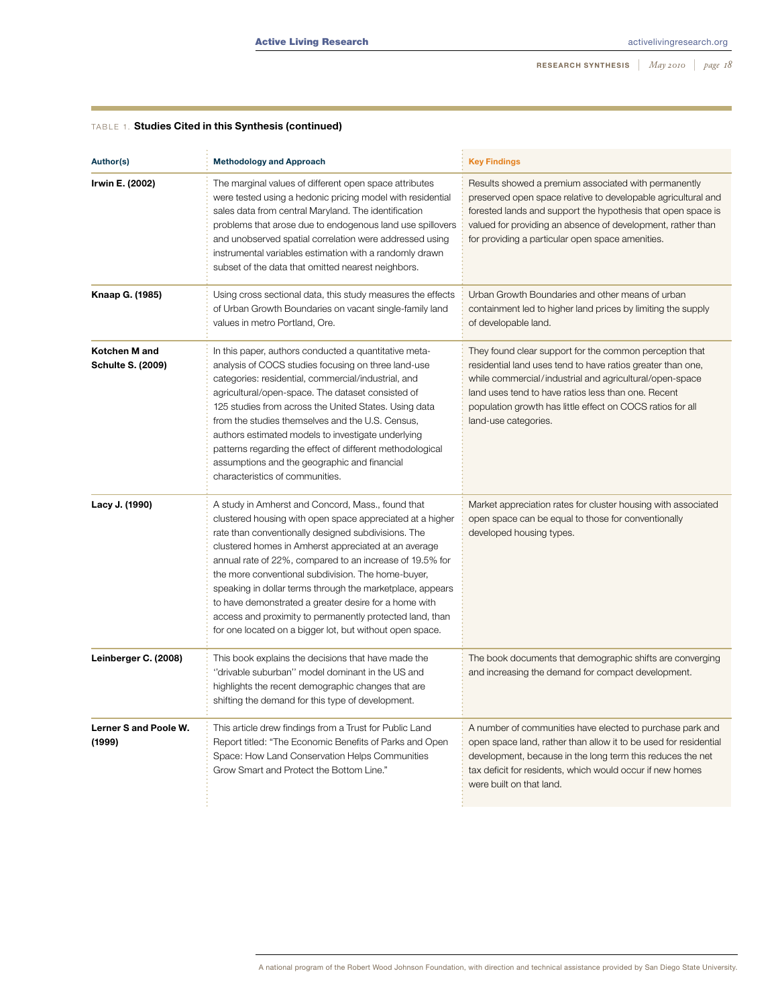| Author(s)                                 | <b>Methodology and Approach</b>                                                                                                                                                                                                                                                                                                                                                                                                                                                                                                                                                               | <b>Key Findings</b>                                                                                                                                                                                                                                                                                                            |
|-------------------------------------------|-----------------------------------------------------------------------------------------------------------------------------------------------------------------------------------------------------------------------------------------------------------------------------------------------------------------------------------------------------------------------------------------------------------------------------------------------------------------------------------------------------------------------------------------------------------------------------------------------|--------------------------------------------------------------------------------------------------------------------------------------------------------------------------------------------------------------------------------------------------------------------------------------------------------------------------------|
| Irwin E. (2002)                           | The marginal values of different open space attributes<br>were tested using a hedonic pricing model with residential<br>sales data from central Maryland. The identification<br>problems that arose due to endogenous land use spillovers<br>and unobserved spatial correlation were addressed using<br>instrumental variables estimation with a randomly drawn<br>subset of the data that omitted nearest neighbors.                                                                                                                                                                         | Results showed a premium associated with permanently<br>preserved open space relative to developable agricultural and<br>forested lands and support the hypothesis that open space is<br>valued for providing an absence of development, rather than<br>for providing a particular open space amenities.                       |
| Knaap G. (1985)                           | Using cross sectional data, this study measures the effects<br>of Urban Growth Boundaries on vacant single-family land<br>values in metro Portland, Ore.                                                                                                                                                                                                                                                                                                                                                                                                                                      | Urban Growth Boundaries and other means of urban<br>containment led to higher land prices by limiting the supply<br>of developable land.                                                                                                                                                                                       |
| Kotchen M and<br><b>Schulte S. (2009)</b> | In this paper, authors conducted a quantitative meta-<br>analysis of COCS studies focusing on three land-use<br>categories: residential, commercial/industrial, and<br>agricultural/open-space. The dataset consisted of<br>125 studies from across the United States. Using data<br>from the studies themselves and the U.S. Census,<br>authors estimated models to investigate underlying<br>patterns regarding the effect of different methodological<br>assumptions and the geographic and financial<br>characteristics of communities.                                                   | They found clear support for the common perception that<br>residential land uses tend to have ratios greater than one,<br>while commercial/industrial and agricultural/open-space<br>land uses tend to have ratios less than one. Recent<br>population growth has little effect on COCS ratios for all<br>land-use categories. |
| Lacy J. (1990)                            | A study in Amherst and Concord, Mass., found that<br>clustered housing with open space appreciated at a higher<br>rate than conventionally designed subdivisions. The<br>clustered homes in Amherst appreciated at an average<br>annual rate of 22%, compared to an increase of 19.5% for<br>the more conventional subdivision. The home-buyer,<br>speaking in dollar terms through the marketplace, appears<br>to have demonstrated a greater desire for a home with<br>access and proximity to permanently protected land, than<br>for one located on a bigger lot, but without open space. | Market appreciation rates for cluster housing with associated<br>open space can be equal to those for conventionally<br>developed housing types.                                                                                                                                                                               |
| Leinberger C. (2008)                      | This book explains the decisions that have made the<br>"drivable suburban" model dominant in the US and<br>highlights the recent demographic changes that are<br>shifting the demand for this type of development.                                                                                                                                                                                                                                                                                                                                                                            | The book documents that demographic shifts are converging<br>and increasing the demand for compact development.                                                                                                                                                                                                                |
| Lerner S and Poole W.<br>(1999)           | This article drew findings from a Trust for Public Land<br>Report titled: "The Economic Benefits of Parks and Open<br>Space: How Land Conservation Helps Communities<br>Grow Smart and Protect the Bottom Line."                                                                                                                                                                                                                                                                                                                                                                              | A number of communities have elected to purchase park and<br>open space land, rather than allow it to be used for residential<br>development, because in the long term this reduces the net<br>tax deficit for residents, which would occur if new homes<br>were built on that land.                                           |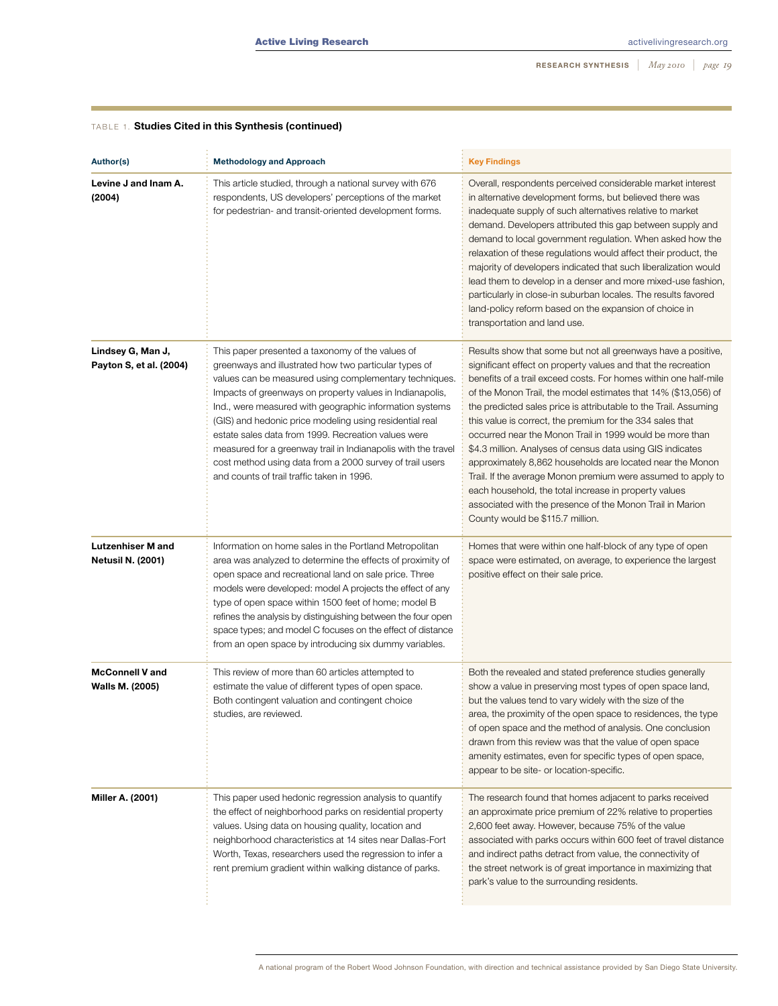| Author(s)                                     | <b>Methodology and Approach</b>                                                                                                                                                                                                                                                                                                                                                                                                                                                                                                                                                         | <b>Key Findings</b>                                                                                                                                                                                                                                                                                                                                                                                                                                                                                                                                                                                                                                                                                                                                                                                                    |
|-----------------------------------------------|-----------------------------------------------------------------------------------------------------------------------------------------------------------------------------------------------------------------------------------------------------------------------------------------------------------------------------------------------------------------------------------------------------------------------------------------------------------------------------------------------------------------------------------------------------------------------------------------|------------------------------------------------------------------------------------------------------------------------------------------------------------------------------------------------------------------------------------------------------------------------------------------------------------------------------------------------------------------------------------------------------------------------------------------------------------------------------------------------------------------------------------------------------------------------------------------------------------------------------------------------------------------------------------------------------------------------------------------------------------------------------------------------------------------------|
| Levine J and Inam A.<br>(2004)                | This article studied, through a national survey with 676<br>respondents, US developers' perceptions of the market<br>for pedestrian- and transit-oriented development forms.                                                                                                                                                                                                                                                                                                                                                                                                            | Overall, respondents perceived considerable market interest<br>in alternative development forms, but believed there was<br>inadequate supply of such alternatives relative to market<br>demand. Developers attributed this gap between supply and<br>demand to local government regulation. When asked how the<br>relaxation of these regulations would affect their product, the<br>majority of developers indicated that such liberalization would<br>lead them to develop in a denser and more mixed-use fashion,<br>particularly in close-in suburban locales. The results favored<br>land-policy reform based on the expansion of choice in<br>transportation and land use.                                                                                                                                       |
| Lindsey G, Man J,<br>Payton S, et al. (2004)  | This paper presented a taxonomy of the values of<br>greenways and illustrated how two particular types of<br>values can be measured using complementary techniques.<br>Impacts of greenways on property values in Indianapolis,<br>Ind., were measured with geographic information systems<br>(GIS) and hedonic price modeling using residential real<br>estate sales data from 1999. Recreation values were<br>measured for a greenway trail in Indianapolis with the travel<br>cost method using data from a 2000 survey of trail users<br>and counts of trail traffic taken in 1996. | Results show that some but not all greenways have a positive,<br>significant effect on property values and that the recreation<br>benefits of a trail exceed costs. For homes within one half-mile<br>of the Monon Trail, the model estimates that 14% (\$13,056) of<br>the predicted sales price is attributable to the Trail. Assuming<br>this value is correct, the premium for the 334 sales that<br>occurred near the Monon Trail in 1999 would be more than<br>\$4.3 million. Analyses of census data using GIS indicates<br>approximately 8,862 households are located near the Monon<br>Trail. If the average Monon premium were assumed to apply to<br>each household, the total increase in property values<br>associated with the presence of the Monon Trail in Marion<br>County would be \$115.7 million. |
| Lutzenhiser M and<br><b>Netusil N. (2001)</b> | Information on home sales in the Portland Metropolitan<br>area was analyzed to determine the effects of proximity of<br>open space and recreational land on sale price. Three<br>models were developed: model A projects the effect of any<br>type of open space within 1500 feet of home; model B<br>refines the analysis by distinguishing between the four open<br>space types; and model C focuses on the effect of distance<br>from an open space by introducing six dummy variables.                                                                                              | Homes that were within one half-block of any type of open<br>space were estimated, on average, to experience the largest<br>positive effect on their sale price.                                                                                                                                                                                                                                                                                                                                                                                                                                                                                                                                                                                                                                                       |
| <b>McConnell V and</b><br>Walls M. (2005)     | This review of more than 60 articles attempted to<br>estimate the value of different types of open space.<br>Both contingent valuation and contingent choice<br>studies, are reviewed.                                                                                                                                                                                                                                                                                                                                                                                                  | Both the revealed and stated preference studies generally<br>show a value in preserving most types of open space land,<br>but the values tend to vary widely with the size of the<br>area, the proximity of the open space to residences, the type<br>of open space and the method of analysis. One conclusion<br>drawn from this review was that the value of open space<br>amenity estimates, even for specific types of open space,<br>appear to be site- or location-specific.                                                                                                                                                                                                                                                                                                                                     |
| Miller A. (2001)                              | This paper used hedonic regression analysis to quantify<br>the effect of neighborhood parks on residential property<br>values. Using data on housing quality, location and<br>neighborhood characteristics at 14 sites near Dallas-Fort<br>Worth, Texas, researchers used the regression to infer a<br>rent premium gradient within walking distance of parks.                                                                                                                                                                                                                          | The research found that homes adjacent to parks received<br>an approximate price premium of 22% relative to properties<br>2,600 feet away. However, because 75% of the value<br>associated with parks occurs within 600 feet of travel distance<br>and indirect paths detract from value, the connectivity of<br>the street network is of great importance in maximizing that<br>park's value to the surrounding residents.                                                                                                                                                                                                                                                                                                                                                                                            |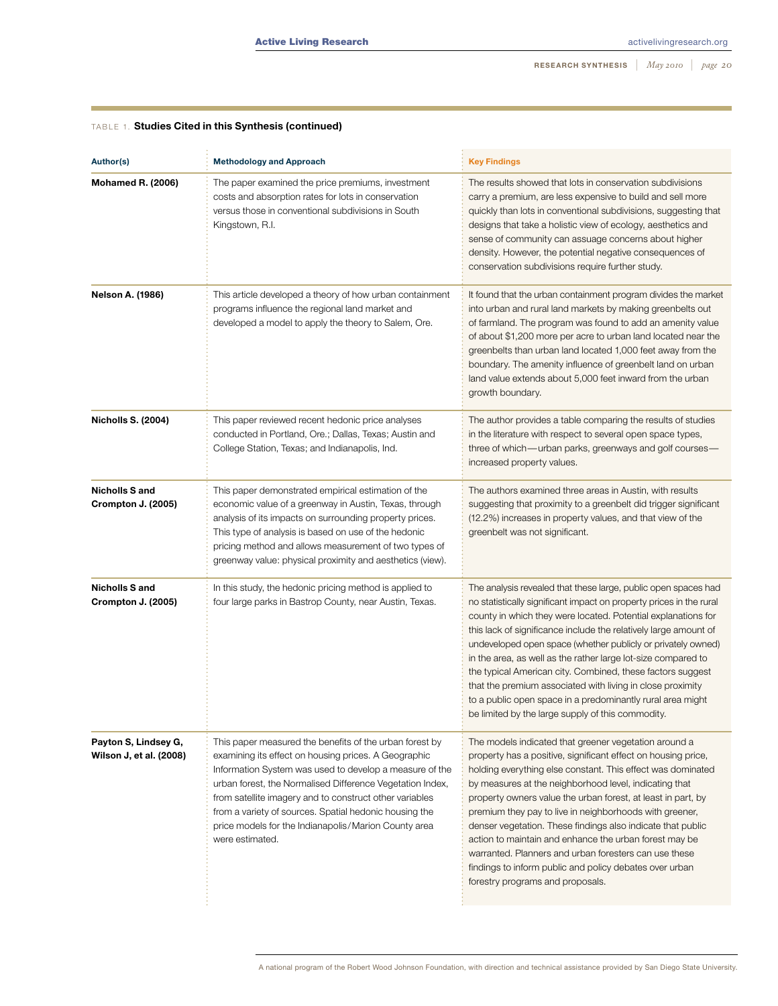| Author(s)                                       | <b>Methodology and Approach</b>                                                                                                                                                                                                                                                                                                                                                                                                         | <b>Key Findings</b>                                                                                                                                                                                                                                                                                                                                                                                                                                                                                                                                                                                                                                         |
|-------------------------------------------------|-----------------------------------------------------------------------------------------------------------------------------------------------------------------------------------------------------------------------------------------------------------------------------------------------------------------------------------------------------------------------------------------------------------------------------------------|-------------------------------------------------------------------------------------------------------------------------------------------------------------------------------------------------------------------------------------------------------------------------------------------------------------------------------------------------------------------------------------------------------------------------------------------------------------------------------------------------------------------------------------------------------------------------------------------------------------------------------------------------------------|
| <b>Mohamed R. (2006)</b>                        | The paper examined the price premiums, investment<br>costs and absorption rates for lots in conservation<br>versus those in conventional subdivisions in South<br>Kingstown, R.I.                                                                                                                                                                                                                                                       | The results showed that lots in conservation subdivisions<br>carry a premium, are less expensive to build and sell more<br>quickly than lots in conventional subdivisions, suggesting that<br>designs that take a holistic view of ecology, aesthetics and<br>sense of community can assuage concerns about higher<br>density. However, the potential negative consequences of<br>conservation subdivisions require further study.                                                                                                                                                                                                                          |
| Nelson A. (1986)                                | This article developed a theory of how urban containment<br>programs influence the regional land market and<br>developed a model to apply the theory to Salem, Ore.                                                                                                                                                                                                                                                                     | It found that the urban containment program divides the market<br>into urban and rural land markets by making greenbelts out<br>of farmland. The program was found to add an amenity value<br>of about \$1,200 more per acre to urban land located near the<br>greenbelts than urban land located 1,000 feet away from the<br>boundary. The amenity influence of greenbelt land on urban<br>land value extends about 5,000 feet inward from the urban<br>growth boundary.                                                                                                                                                                                   |
| <b>Nicholls S. (2004)</b>                       | This paper reviewed recent hedonic price analyses<br>conducted in Portland, Ore.; Dallas, Texas; Austin and<br>College Station, Texas; and Indianapolis, Ind.                                                                                                                                                                                                                                                                           | The author provides a table comparing the results of studies<br>in the literature with respect to several open space types,<br>three of which—urban parks, greenways and golf courses—<br>increased property values.                                                                                                                                                                                                                                                                                                                                                                                                                                        |
| Nicholls S and<br><b>Crompton J. (2005)</b>     | This paper demonstrated empirical estimation of the<br>economic value of a greenway in Austin, Texas, through<br>analysis of its impacts on surrounding property prices.<br>This type of analysis is based on use of the hedonic<br>pricing method and allows measurement of two types of<br>greenway value: physical proximity and aesthetics (view).                                                                                  | The authors examined three areas in Austin, with results<br>suggesting that proximity to a greenbelt did trigger significant<br>(12.2%) increases in property values, and that view of the<br>greenbelt was not significant.                                                                                                                                                                                                                                                                                                                                                                                                                                |
| Nicholls S and<br><b>Crompton J. (2005)</b>     | In this study, the hedonic pricing method is applied to<br>four large parks in Bastrop County, near Austin, Texas.                                                                                                                                                                                                                                                                                                                      | The analysis revealed that these large, public open spaces had<br>no statistically significant impact on property prices in the rural<br>county in which they were located. Potential explanations for<br>this lack of significance include the relatively large amount of<br>undeveloped open space (whether publicly or privately owned)<br>in the area, as well as the rather large lot-size compared to<br>the typical American city. Combined, these factors suggest<br>that the premium associated with living in close proximity<br>to a public open space in a predominantly rural area might<br>be limited by the large supply of this commodity.  |
| Payton S, Lindsey G,<br>Wilson J, et al. (2008) | This paper measured the benefits of the urban forest by<br>examining its effect on housing prices. A Geographic<br>Information System was used to develop a measure of the<br>urban forest, the Normalised Difference Vegetation Index,<br>from satellite imagery and to construct other variables<br>from a variety of sources. Spatial hedonic housing the<br>price models for the Indianapolis/Marion County area<br>were estimated. | The models indicated that greener vegetation around a<br>property has a positive, significant effect on housing price,<br>holding everything else constant. This effect was dominated<br>by measures at the neighborhood level, indicating that<br>property owners value the urban forest, at least in part, by<br>premium they pay to live in neighborhoods with greener,<br>denser vegetation. These findings also indicate that public<br>action to maintain and enhance the urban forest may be<br>warranted. Planners and urban foresters can use these<br>findings to inform public and policy debates over urban<br>forestry programs and proposals. |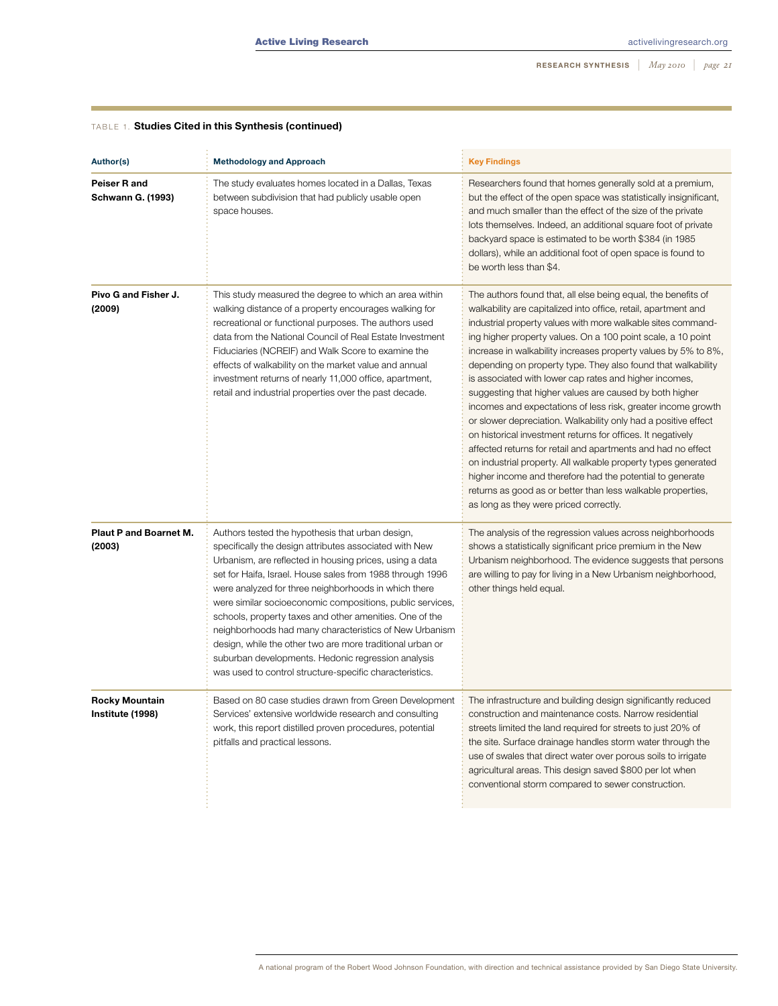| Author(s)                                 | <b>Methodology and Approach</b>                                                                                                                                                                                                                                                                                                                                                                                                                                                                                                                                                                                                                            | <b>Key Findings</b>                                                                                                                                                                                                                                                                                                                                                                                                                                                                                                                                                                                                                                                                                                                                                                                                                                                                                                                                                                                                            |
|-------------------------------------------|------------------------------------------------------------------------------------------------------------------------------------------------------------------------------------------------------------------------------------------------------------------------------------------------------------------------------------------------------------------------------------------------------------------------------------------------------------------------------------------------------------------------------------------------------------------------------------------------------------------------------------------------------------|--------------------------------------------------------------------------------------------------------------------------------------------------------------------------------------------------------------------------------------------------------------------------------------------------------------------------------------------------------------------------------------------------------------------------------------------------------------------------------------------------------------------------------------------------------------------------------------------------------------------------------------------------------------------------------------------------------------------------------------------------------------------------------------------------------------------------------------------------------------------------------------------------------------------------------------------------------------------------------------------------------------------------------|
| Peiser R and<br><b>Schwann G. (1993)</b>  | The study evaluates homes located in a Dallas, Texas<br>between subdivision that had publicly usable open<br>space houses.                                                                                                                                                                                                                                                                                                                                                                                                                                                                                                                                 | Researchers found that homes generally sold at a premium,<br>but the effect of the open space was statistically insignificant,<br>and much smaller than the effect of the size of the private<br>lots themselves. Indeed, an additional square foot of private<br>backyard space is estimated to be worth \$384 (in 1985<br>dollars), while an additional foot of open space is found to<br>be worth less than \$4.                                                                                                                                                                                                                                                                                                                                                                                                                                                                                                                                                                                                            |
| Pivo G and Fisher J.<br>(2009)            | This study measured the degree to which an area within<br>walking distance of a property encourages walking for<br>recreational or functional purposes. The authors used<br>data from the National Council of Real Estate Investment<br>Fiduciaries (NCREIF) and Walk Score to examine the<br>effects of walkability on the market value and annual<br>investment returns of nearly 11,000 office, apartment,<br>retail and industrial properties over the past decade.                                                                                                                                                                                    | The authors found that, all else being equal, the benefits of<br>walkability are capitalized into office, retail, apartment and<br>industrial property values with more walkable sites command-<br>ing higher property values. On a 100 point scale, a 10 point<br>increase in walkability increases property values by 5% to 8%,<br>depending on property type. They also found that walkability<br>is associated with lower cap rates and higher incomes,<br>suggesting that higher values are caused by both higher<br>incomes and expectations of less risk, greater income growth<br>or slower depreciation. Walkability only had a positive effect<br>on historical investment returns for offices. It negatively<br>affected returns for retail and apartments and had no effect<br>on industrial property. All walkable property types generated<br>higher income and therefore had the potential to generate<br>returns as good as or better than less walkable properties,<br>as long as they were priced correctly. |
| <b>Plaut P and Boarnet M.</b><br>(2003)   | Authors tested the hypothesis that urban design,<br>specifically the design attributes associated with New<br>Urbanism, are reflected in housing prices, using a data<br>set for Haifa, Israel. House sales from 1988 through 1996<br>were analyzed for three neighborhoods in which there<br>were similar socioeconomic compositions, public services,<br>schools, property taxes and other amenities. One of the<br>neighborhoods had many characteristics of New Urbanism<br>design, while the other two are more traditional urban or<br>suburban developments. Hedonic regression analysis<br>was used to control structure-specific characteristics. | The analysis of the regression values across neighborhoods<br>shows a statistically significant price premium in the New<br>Urbanism neighborhood. The evidence suggests that persons<br>are willing to pay for living in a New Urbanism neighborhood,<br>other things held equal.                                                                                                                                                                                                                                                                                                                                                                                                                                                                                                                                                                                                                                                                                                                                             |
| <b>Rocky Mountain</b><br>Institute (1998) | Based on 80 case studies drawn from Green Development<br>Services' extensive worldwide research and consulting<br>work, this report distilled proven procedures, potential<br>pitfalls and practical lessons.                                                                                                                                                                                                                                                                                                                                                                                                                                              | The infrastructure and building design significantly reduced<br>construction and maintenance costs. Narrow residential<br>streets limited the land required for streets to just 20% of<br>the site. Surface drainage handles storm water through the<br>use of swales that direct water over porous soils to irrigate<br>agricultural areas. This design saved \$800 per lot when<br>conventional storm compared to sewer construction.                                                                                                                                                                                                                                                                                                                                                                                                                                                                                                                                                                                        |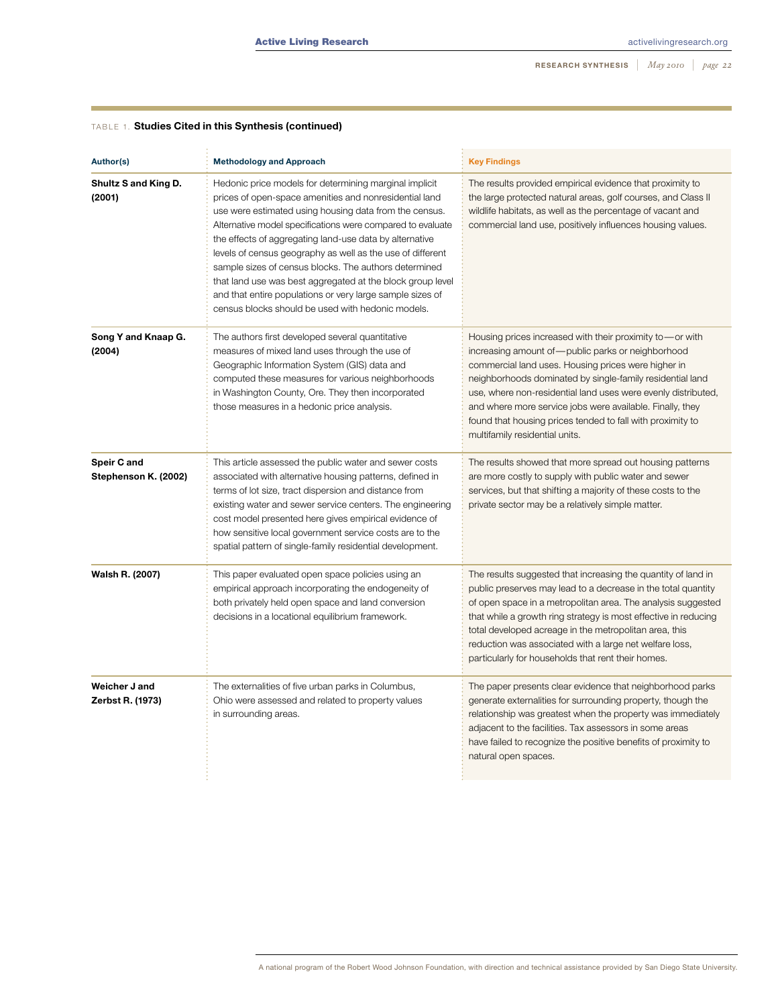| Author(s)                           | <b>Methodology and Approach</b>                                                                                                                                                                                                                                                                                                                                                                                                                                                                                                                                                                            | <b>Key Findings</b>                                                                                                                                                                                                                                                                                                                                                                                                                                                 |
|-------------------------------------|------------------------------------------------------------------------------------------------------------------------------------------------------------------------------------------------------------------------------------------------------------------------------------------------------------------------------------------------------------------------------------------------------------------------------------------------------------------------------------------------------------------------------------------------------------------------------------------------------------|---------------------------------------------------------------------------------------------------------------------------------------------------------------------------------------------------------------------------------------------------------------------------------------------------------------------------------------------------------------------------------------------------------------------------------------------------------------------|
| Shultz S and King D.<br>(2001)      | Hedonic price models for determining marginal implicit<br>prices of open-space amenities and nonresidential land<br>use were estimated using housing data from the census.<br>Alternative model specifications were compared to evaluate<br>the effects of aggregating land-use data by alternative<br>levels of census geography as well as the use of different<br>sample sizes of census blocks. The authors determined<br>that land use was best aggregated at the block group level<br>and that entire populations or very large sample sizes of<br>census blocks should be used with hedonic models. | The results provided empirical evidence that proximity to<br>the large protected natural areas, golf courses, and Class II<br>wildlife habitats, as well as the percentage of vacant and<br>commercial land use, positively influences housing values.                                                                                                                                                                                                              |
| Song Y and Knaap G.<br>(2004)       | The authors first developed several quantitative<br>measures of mixed land uses through the use of<br>Geographic Information System (GIS) data and<br>computed these measures for various neighborhoods<br>in Washington County, Ore. They then incorporated<br>those measures in a hedonic price analysis.                                                                                                                                                                                                                                                                                                | Housing prices increased with their proximity to — or with<br>increasing amount of - public parks or neighborhood<br>commercial land uses. Housing prices were higher in<br>neighborhoods dominated by single-family residential land<br>use, where non-residential land uses were evenly distributed,<br>and where more service jobs were available. Finally, they<br>found that housing prices tended to fall with proximity to<br>multifamily residential units. |
| Speir C and<br>Stephenson K. (2002) | This article assessed the public water and sewer costs<br>associated with alternative housing patterns, defined in<br>terms of lot size, tract dispersion and distance from<br>existing water and sewer service centers. The engineering<br>cost model presented here gives empirical evidence of<br>how sensitive local government service costs are to the<br>spatial pattern of single-family residential development.                                                                                                                                                                                  | The results showed that more spread out housing patterns<br>are more costly to supply with public water and sewer<br>services, but that shifting a majority of these costs to the<br>private sector may be a relatively simple matter.                                                                                                                                                                                                                              |
| Walsh R. (2007)                     | This paper evaluated open space policies using an<br>empirical approach incorporating the endogeneity of<br>both privately held open space and land conversion<br>decisions in a locational equilibrium framework.                                                                                                                                                                                                                                                                                                                                                                                         | The results suggested that increasing the quantity of land in<br>public preserves may lead to a decrease in the total quantity<br>of open space in a metropolitan area. The analysis suggested<br>that while a growth ring strategy is most effective in reducing<br>total developed acreage in the metropolitan area, this<br>reduction was associated with a large net welfare loss,<br>particularly for households that rent their homes.                        |
| Weicher J and<br>Zerbst R. (1973)   | The externalities of five urban parks in Columbus,<br>Ohio were assessed and related to property values<br>in surrounding areas.                                                                                                                                                                                                                                                                                                                                                                                                                                                                           | The paper presents clear evidence that neighborhood parks<br>generate externalities for surrounding property, though the<br>relationship was greatest when the property was immediately<br>adjacent to the facilities. Tax assessors in some areas<br>have failed to recognize the positive benefits of proximity to<br>natural open spaces.                                                                                                                        |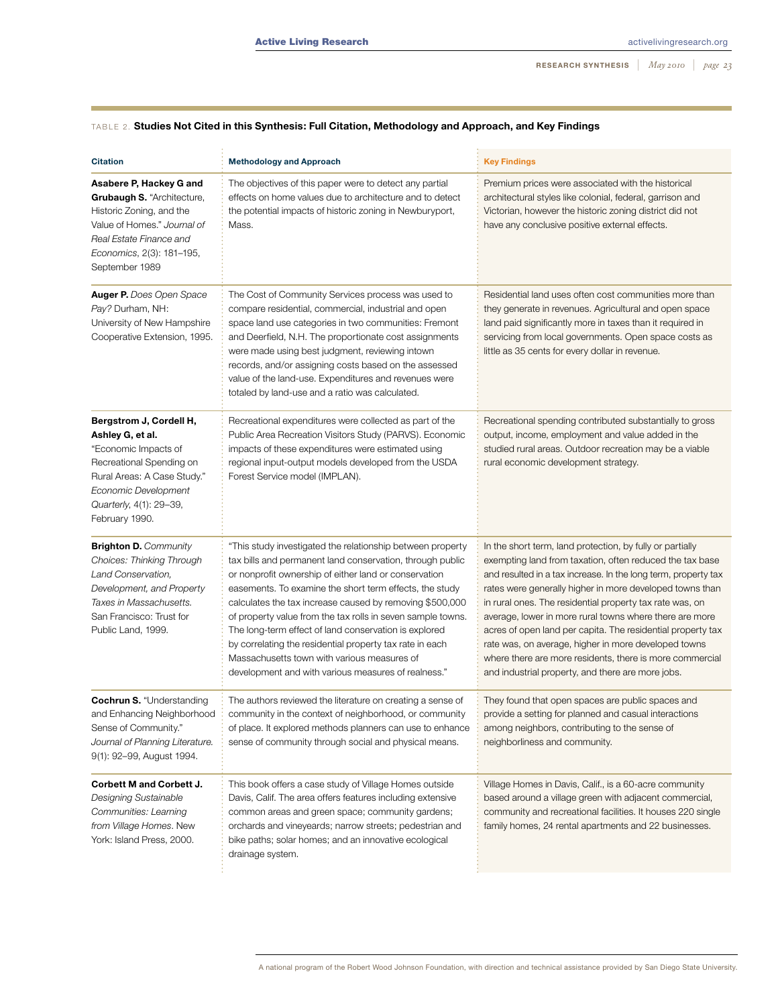### Table 2. **Studies Not Cited in this Synthesis: Full Citation, Methodology and Approach, and Key Findings**

| <b>Citation</b>                                                                                                                                                                                     | <b>Methodology and Approach</b>                                                                                                                                                                                                                                                                                                                                                                                                                                                                                                                                                                   | <b>Key Findings</b>                                                                                                                                                                                                                                                                                                                                                                                                                                                                                                                                                                                                |
|-----------------------------------------------------------------------------------------------------------------------------------------------------------------------------------------------------|---------------------------------------------------------------------------------------------------------------------------------------------------------------------------------------------------------------------------------------------------------------------------------------------------------------------------------------------------------------------------------------------------------------------------------------------------------------------------------------------------------------------------------------------------------------------------------------------------|--------------------------------------------------------------------------------------------------------------------------------------------------------------------------------------------------------------------------------------------------------------------------------------------------------------------------------------------------------------------------------------------------------------------------------------------------------------------------------------------------------------------------------------------------------------------------------------------------------------------|
| Asabere P, Hackey G and<br><b>Grubaugh S.</b> "Architecture,<br>Historic Zoning, and the<br>Value of Homes." Journal of<br>Real Estate Finance and<br>Economics, 2(3): 181–195,<br>September 1989   | The objectives of this paper were to detect any partial<br>effects on home values due to architecture and to detect<br>the potential impacts of historic zoning in Newburyport,<br>Mass.                                                                                                                                                                                                                                                                                                                                                                                                          | Premium prices were associated with the historical<br>architectural styles like colonial, federal, garrison and<br>Victorian, however the historic zoning district did not<br>have any conclusive positive external effects.                                                                                                                                                                                                                                                                                                                                                                                       |
| <b>Auger P.</b> Does Open Space<br>Pay? Durham, NH:<br>University of New Hampshire<br>Cooperative Extension, 1995.                                                                                  | The Cost of Community Services process was used to<br>compare residential, commercial, industrial and open<br>space land use categories in two communities: Fremont<br>and Deerfield, N.H. The proportionate cost assignments<br>were made using best judgment, reviewing intown<br>records, and/or assigning costs based on the assessed<br>value of the land-use. Expenditures and revenues were<br>totaled by land-use and a ratio was calculated.                                                                                                                                             | Residential land uses often cost communities more than<br>they generate in revenues. Agricultural and open space<br>land paid significantly more in taxes than it required in<br>servicing from local governments. Open space costs as<br>little as 35 cents for every dollar in revenue.                                                                                                                                                                                                                                                                                                                          |
| Bergstrom J, Cordell H,<br>Ashley G, et al.<br>"Economic Impacts of<br>Recreational Spending on<br>Rural Areas: A Case Study."<br>Economic Development<br>Quarterly, 4(1): 29-39,<br>February 1990. | Recreational expenditures were collected as part of the<br>Public Area Recreation Visitors Study (PARVS). Economic<br>impacts of these expenditures were estimated using<br>regional input-output models developed from the USDA<br>Forest Service model (IMPLAN).                                                                                                                                                                                                                                                                                                                                | Recreational spending contributed substantially to gross<br>output, income, employment and value added in the<br>studied rural areas. Outdoor recreation may be a viable<br>rural economic development strategy.                                                                                                                                                                                                                                                                                                                                                                                                   |
| <b>Brighton D.</b> Community<br>Choices: Thinking Through<br>Land Conservation,<br>Development, and Property<br>Taxes in Massachusetts.<br>San Francisco: Trust for<br>Public Land, 1999.           | "This study investigated the relationship between property<br>tax bills and permanent land conservation, through public<br>or nonprofit ownership of either land or conservation<br>easements. To examine the short term effects, the study<br>calculates the tax increase caused by removing \$500,000<br>of property value from the tax rolls in seven sample towns.<br>The long-term effect of land conservation is explored<br>by correlating the residential property tax rate in each<br>Massachusetts town with various measures of<br>development and with various measures of realness." | In the short term, land protection, by fully or partially<br>exempting land from taxation, often reduced the tax base<br>and resulted in a tax increase. In the long term, property tax<br>rates were generally higher in more developed towns than<br>in rural ones. The residential property tax rate was, on<br>average, lower in more rural towns where there are more<br>acres of open land per capita. The residential property tax<br>rate was, on average, higher in more developed towns<br>where there are more residents, there is more commercial<br>and industrial property, and there are more jobs. |
| <b>Cochrun S.</b> "Understanding<br>and Enhancing Neighborhood<br>Sense of Community."<br>Journal of Planning Literature.<br>9(1): 92-99, August 1994.                                              | The authors reviewed the literature on creating a sense of<br>community in the context of neighborhood, or community<br>of place. It explored methods planners can use to enhance<br>sense of community through social and physical means.                                                                                                                                                                                                                                                                                                                                                        | They found that open spaces are public spaces and<br>provide a setting for planned and casual interactions<br>among neighbors, contributing to the sense of<br>neighborliness and community.                                                                                                                                                                                                                                                                                                                                                                                                                       |
| <b>Corbett M and Corbett J.</b><br>Designing Sustainable<br>Communities: Learning<br>from Village Homes. New<br>York: Island Press, 2000.                                                           | This book offers a case study of Village Homes outside<br>Davis, Calif. The area offers features including extensive<br>common areas and green space; community gardens;<br>orchards and vineyeards; narrow streets; pedestrian and<br>bike paths; solar homes; and an innovative ecological<br>drainage system.                                                                                                                                                                                                                                                                                  | Village Homes in Davis, Calif., is a 60-acre community<br>based around a village green with adjacent commercial,<br>community and recreational facilities. It houses 220 single<br>family homes, 24 rental apartments and 22 businesses.                                                                                                                                                                                                                                                                                                                                                                           |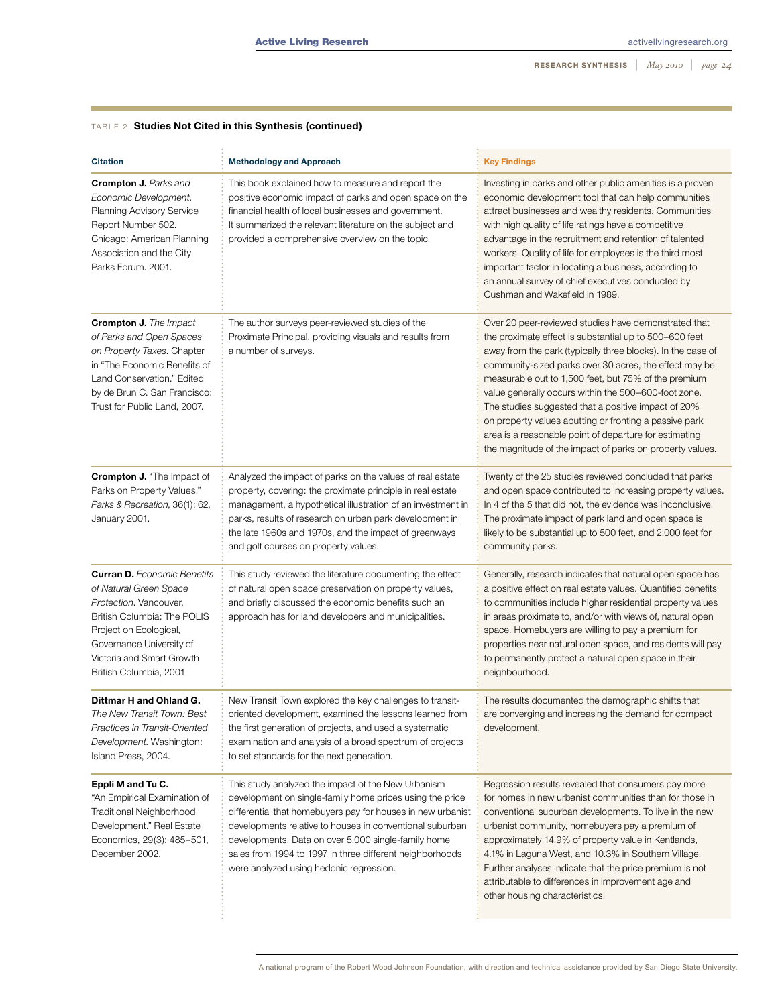| <b>Citation</b>                                                                                                                                                                                                                    | <b>Methodology and Approach</b>                                                                                                                                                                                                                                                                                                                                                                         | <b>Key Findings</b>                                                                                                                                                                                                                                                                                                                                                                                                                                                                                                                                                                            |
|------------------------------------------------------------------------------------------------------------------------------------------------------------------------------------------------------------------------------------|---------------------------------------------------------------------------------------------------------------------------------------------------------------------------------------------------------------------------------------------------------------------------------------------------------------------------------------------------------------------------------------------------------|------------------------------------------------------------------------------------------------------------------------------------------------------------------------------------------------------------------------------------------------------------------------------------------------------------------------------------------------------------------------------------------------------------------------------------------------------------------------------------------------------------------------------------------------------------------------------------------------|
| <b>Crompton J.</b> Parks and<br>Economic Development.<br>Planning Advisory Service<br>Report Number 502.<br>Chicago: American Planning<br>Association and the City<br>Parks Forum. 2001.                                           | This book explained how to measure and report the<br>positive economic impact of parks and open space on the<br>financial health of local businesses and government.<br>It summarized the relevant literature on the subject and<br>provided a comprehensive overview on the topic.                                                                                                                     | Investing in parks and other public amenities is a proven<br>economic development tool that can help communities<br>attract businesses and wealthy residents. Communities<br>with high quality of life ratings have a competitive<br>advantage in the recruitment and retention of talented<br>workers. Quality of life for employees is the third most<br>important factor in locating a business, according to<br>an annual survey of chief executives conducted by<br>Cushman and Wakefield in 1989.                                                                                        |
| <b>Crompton J.</b> The Impact<br>of Parks and Open Spaces<br>on Property Taxes. Chapter<br>in "The Economic Benefits of<br>Land Conservation." Edited<br>by de Brun C. San Francisco:<br>Trust for Public Land, 2007.              | The author surveys peer-reviewed studies of the<br>Proximate Principal, providing visuals and results from<br>a number of surveys.                                                                                                                                                                                                                                                                      | Over 20 peer-reviewed studies have demonstrated that<br>the proximate effect is substantial up to 500-600 feet<br>away from the park (typically three blocks). In the case of<br>community-sized parks over 30 acres, the effect may be<br>measurable out to 1,500 feet, but 75% of the premium<br>value generally occurs within the 500-600-foot zone.<br>The studies suggested that a positive impact of 20%<br>on property values abutting or fronting a passive park<br>area is a reasonable point of departure for estimating<br>the magnitude of the impact of parks on property values. |
| <b>Crompton J.</b> "The Impact of<br>Parks on Property Values."<br>Parks & Recreation, 36(1): 62,<br>January 2001.                                                                                                                 | Analyzed the impact of parks on the values of real estate<br>property, covering: the proximate principle in real estate<br>management, a hypothetical illustration of an investment in<br>parks, results of research on urban park development in<br>the late 1960s and 1970s, and the impact of greenways<br>and golf courses on property values.                                                      | Twenty of the 25 studies reviewed concluded that parks<br>and open space contributed to increasing property values.<br>In 4 of the 5 that did not, the evidence was inconclusive.<br>The proximate impact of park land and open space is<br>likely to be substantial up to 500 feet, and 2,000 feet for<br>community parks.                                                                                                                                                                                                                                                                    |
| <b>Curran D.</b> Economic Benefits<br>of Natural Green Space<br>Protection. Vancouver,<br>British Columbia: The POLIS<br>Project on Ecological,<br>Governance University of<br>Victoria and Smart Growth<br>British Columbia, 2001 | This study reviewed the literature documenting the effect<br>of natural open space preservation on property values,<br>and briefly discussed the economic benefits such an<br>approach has for land developers and municipalities.                                                                                                                                                                      | Generally, research indicates that natural open space has<br>a positive effect on real estate values. Quantified benefits<br>to communities include higher residential property values<br>in areas proximate to, and/or with views of, natural open<br>space. Homebuyers are willing to pay a premium for<br>properties near natural open space, and residents will pay<br>to permanently protect a natural open space in their<br>neighbourhood.                                                                                                                                              |
| Dittmar H and Ohland G.<br>The New Transit Town: Best<br>Practices in Transit-Oriented<br>Development. Washington:<br>Island Press, 2004.                                                                                          | New Transit Town explored the key challenges to transit-<br>oriented development, examined the lessons learned from<br>the first generation of projects, and used a systematic<br>examination and analysis of a broad spectrum of projects<br>to set standards for the next generation.                                                                                                                 | The results documented the demographic shifts that<br>are converging and increasing the demand for compact<br>development.                                                                                                                                                                                                                                                                                                                                                                                                                                                                     |
| Eppli M and Tu C.<br>"An Empirical Examination of<br><b>Traditional Neighborhood</b><br>Development." Real Estate<br>Economics, 29(3): 485-501,<br>December 2002.                                                                  | This study analyzed the impact of the New Urbanism<br>development on single-family home prices using the price<br>differential that homebuyers pay for houses in new urbanist<br>developments relative to houses in conventional suburban<br>developments. Data on over 5,000 single-family home<br>sales from 1994 to 1997 in three different neighborhoods<br>were analyzed using hedonic regression. | Regression results revealed that consumers pay more<br>for homes in new urbanist communities than for those in<br>conventional suburban developments. To live in the new<br>urbanist community, homebuyers pay a premium of<br>approximately 14.9% of property value in Kentlands,<br>4.1% in Laguna West, and 10.3% in Southern Village.<br>Further analyses indicate that the price premium is not<br>attributable to differences in improvement age and<br>other housing characteristics.                                                                                                   |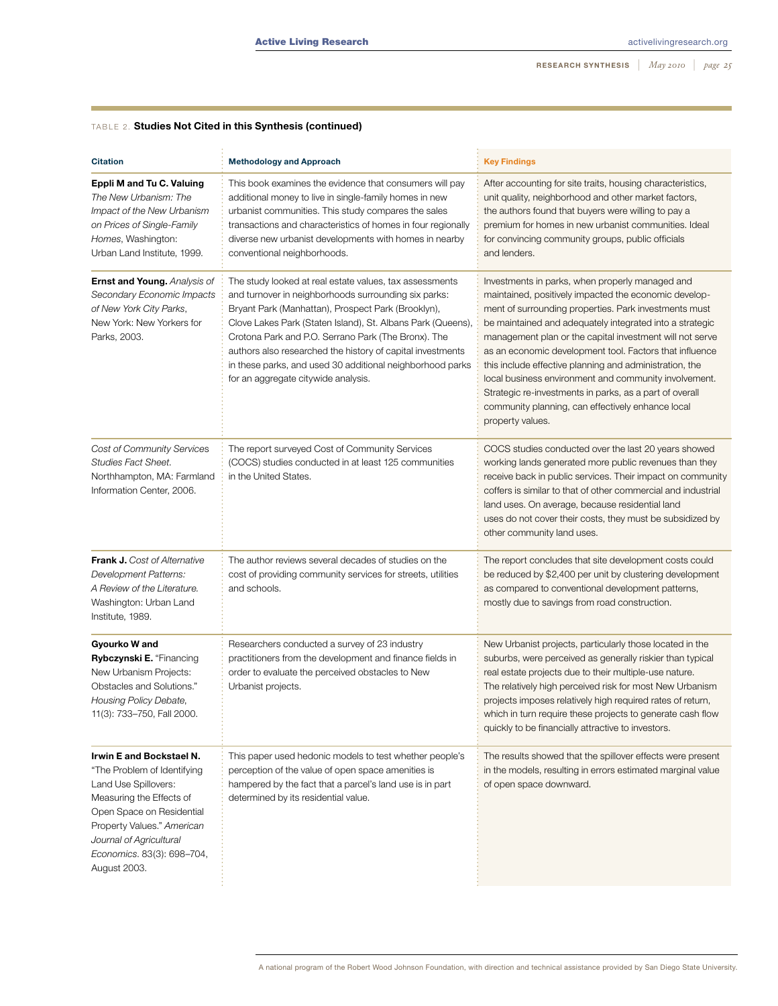| <b>Citation</b>                                                                                                                                                                                                                                 | <b>Methodology and Approach</b>                                                                                                                                                                                                                                                                                                                                                                                                                               | <b>Key Findings</b>                                                                                                                                                                                                                                                                                                                                                                                                                                                                                                                                                                                          |
|-------------------------------------------------------------------------------------------------------------------------------------------------------------------------------------------------------------------------------------------------|---------------------------------------------------------------------------------------------------------------------------------------------------------------------------------------------------------------------------------------------------------------------------------------------------------------------------------------------------------------------------------------------------------------------------------------------------------------|--------------------------------------------------------------------------------------------------------------------------------------------------------------------------------------------------------------------------------------------------------------------------------------------------------------------------------------------------------------------------------------------------------------------------------------------------------------------------------------------------------------------------------------------------------------------------------------------------------------|
| Eppli M and Tu C. Valuing<br>The New Urbanism: The<br>Impact of the New Urbanism<br>on Prices of Single-Family<br>Homes, Washington:<br>Urban Land Institute, 1999.                                                                             | This book examines the evidence that consumers will pay<br>additional money to live in single-family homes in new<br>urbanist communities. This study compares the sales<br>transactions and characteristics of homes in four regionally<br>diverse new urbanist developments with homes in nearby<br>conventional neighborhoods.                                                                                                                             | After accounting for site traits, housing characteristics,<br>unit quality, neighborhood and other market factors,<br>the authors found that buyers were willing to pay a<br>premium for homes in new urbanist communities. Ideal<br>for convincing community groups, public officials<br>and lenders.                                                                                                                                                                                                                                                                                                       |
| <b>Ernst and Young.</b> Analysis of<br>Secondary Economic Impacts<br>of New York City Parks,<br>New York: New Yorkers for<br>Parks, 2003.                                                                                                       | The study looked at real estate values, tax assessments<br>and turnover in neighborhoods surrounding six parks:<br>Bryant Park (Manhattan), Prospect Park (Brooklyn),<br>Clove Lakes Park (Staten Island), St. Albans Park (Queens),<br>Crotona Park and P.O. Serrano Park (The Bronx). The<br>authors also researched the history of capital investments<br>in these parks, and used 30 additional neighborhood parks<br>for an aggregate citywide analysis. | Investments in parks, when properly managed and<br>maintained, positively impacted the economic develop-<br>ment of surrounding properties. Park investments must<br>be maintained and adequately integrated into a strategic<br>management plan or the capital investment will not serve<br>as an economic development tool. Factors that influence<br>this include effective planning and administration, the<br>local business environment and community involvement.<br>Strategic re-investments in parks, as a part of overall<br>community planning, can effectively enhance local<br>property values. |
| Cost of Community Services<br>Studies Fact Sheet.<br>Northhampton, MA: Farmland<br>Information Center, 2006.                                                                                                                                    | The report surveyed Cost of Community Services<br>(COCS) studies conducted in at least 125 communities<br>in the United States.                                                                                                                                                                                                                                                                                                                               | COCS studies conducted over the last 20 years showed<br>working lands generated more public revenues than they<br>receive back in public services. Their impact on community<br>coffers is similar to that of other commercial and industrial<br>land uses. On average, because residential land<br>uses do not cover their costs, they must be subsidized by<br>other community land uses.                                                                                                                                                                                                                  |
| <b>Frank J.</b> Cost of Alternative<br>Development Patterns:<br>A Review of the Literature.<br>Washington: Urban Land<br>Institute, 1989.                                                                                                       | The author reviews several decades of studies on the<br>cost of providing community services for streets, utilities<br>and schools.                                                                                                                                                                                                                                                                                                                           | The report concludes that site development costs could<br>be reduced by \$2,400 per unit by clustering development<br>as compared to conventional development patterns,<br>mostly due to savings from road construction.                                                                                                                                                                                                                                                                                                                                                                                     |
| Gyourko W and<br><b>Rybczynski E.</b> "Financing<br>New Urbanism Projects:<br>Obstacles and Solutions."<br>Housing Policy Debate,<br>11(3): 733-750, Fall 2000.                                                                                 | Researchers conducted a survey of 23 industry<br>practitioners from the development and finance fields in<br>order to evaluate the perceived obstacles to New<br>Urbanist projects.                                                                                                                                                                                                                                                                           | New Urbanist projects, particularly those located in the<br>suburbs, were perceived as generally riskier than typical<br>real estate projects due to their multiple-use nature.<br>The relatively high perceived risk for most New Urbanism<br>projects imposes relatively high required rates of return,<br>which in turn require these projects to generate cash flow<br>quickly to be financially attractive to investors.                                                                                                                                                                                |
| Irwin E and Bockstael N.<br>"The Problem of Identifying<br>Land Use Spillovers:<br>Measuring the Effects of<br>Open Space on Residential<br>Property Values." American<br>Journal of Agricultural<br>Economics. 83(3): 698-704,<br>August 2003. | This paper used hedonic models to test whether people's<br>perception of the value of open space amenities is<br>hampered by the fact that a parcel's land use is in part<br>determined by its residential value.                                                                                                                                                                                                                                             | The results showed that the spillover effects were present<br>in the models, resulting in errors estimated marginal value<br>of open space downward.                                                                                                                                                                                                                                                                                                                                                                                                                                                         |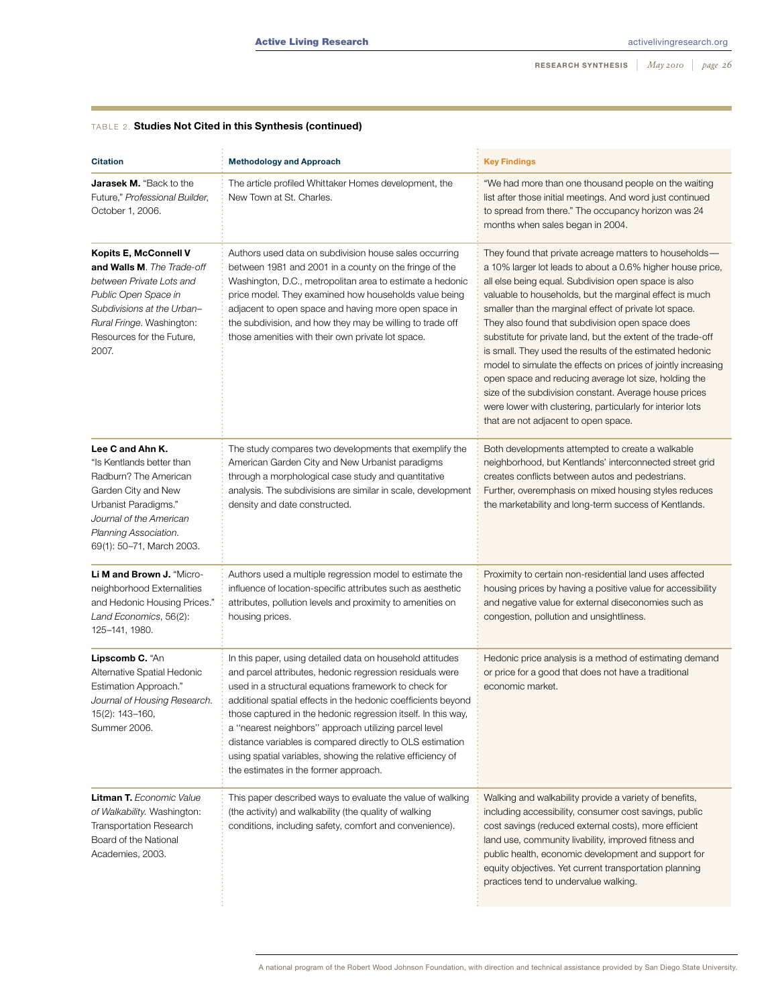| <b>Citation</b>                                                                                                                                                                                          | <b>Methodology and Approach</b>                                                                                                                                                                                                                                                                                                                                                                                                                                                                                                                | <b>Key Findings</b>                                                                                                                                                                                                                                                                                                                                                                                                                                                                                                                                                                                                                                                                                                                                                         |
|----------------------------------------------------------------------------------------------------------------------------------------------------------------------------------------------------------|------------------------------------------------------------------------------------------------------------------------------------------------------------------------------------------------------------------------------------------------------------------------------------------------------------------------------------------------------------------------------------------------------------------------------------------------------------------------------------------------------------------------------------------------|-----------------------------------------------------------------------------------------------------------------------------------------------------------------------------------------------------------------------------------------------------------------------------------------------------------------------------------------------------------------------------------------------------------------------------------------------------------------------------------------------------------------------------------------------------------------------------------------------------------------------------------------------------------------------------------------------------------------------------------------------------------------------------|
| Jarasek M. "Back to the<br>Future," Professional Builder,<br>October 1, 2006.                                                                                                                            | The article profiled Whittaker Homes development, the<br>New Town at St. Charles.                                                                                                                                                                                                                                                                                                                                                                                                                                                              | "We had more than one thousand people on the waiting<br>list after those initial meetings. And word just continued<br>to spread from there." The occupancy horizon was 24<br>months when sales began in 2004.                                                                                                                                                                                                                                                                                                                                                                                                                                                                                                                                                               |
| Kopits E, McConnell V<br>and Walls M. The Trade-off<br>between Private Lots and<br>Public Open Space in<br>Subdivisions at the Urban-<br>Rural Fringe. Washington:<br>Resources for the Future,<br>2007. | Authors used data on subdivision house sales occurring<br>between 1981 and 2001 in a county on the fringe of the<br>Washington, D.C., metropolitan area to estimate a hedonic<br>price model. They examined how households value being<br>adjacent to open space and having more open space in<br>the subdivision, and how they may be willing to trade off<br>those amenities with their own private lot space.                                                                                                                               | They found that private acreage matters to households—<br>a 10% larger lot leads to about a 0.6% higher house price,<br>all else being equal. Subdivision open space is also<br>valuable to households, but the marginal effect is much<br>smaller than the marginal effect of private lot space.<br>They also found that subdivision open space does<br>substitute for private land, but the extent of the trade-off<br>is small. They used the results of the estimated hedonic<br>model to simulate the effects on prices of jointly increasing<br>open space and reducing average lot size, holding the<br>size of the subdivision constant. Average house prices<br>were lower with clustering, particularly for interior lots<br>that are not adjacent to open space. |
| Lee C and Ahn K.<br>"Is Kentlands better than<br>Radburn? The American<br>Garden City and New<br>Urbanist Paradigms."<br>Journal of the American<br>Planning Association.<br>69(1): 50–71, March 2003.   | The study compares two developments that exemplify the<br>American Garden City and New Urbanist paradigms<br>through a morphological case study and quantitative<br>analysis. The subdivisions are similar in scale, development<br>density and date constructed.                                                                                                                                                                                                                                                                              | Both developments attempted to create a walkable<br>neighborhood, but Kentlands' interconnected street grid<br>creates conflicts between autos and pedestrians.<br>Further, overemphasis on mixed housing styles reduces<br>the marketability and long-term success of Kentlands.                                                                                                                                                                                                                                                                                                                                                                                                                                                                                           |
| Li M and Brown J. "Micro-<br>neighborhood Externalities<br>and Hedonic Housing Prices."<br>Land Economics, 56(2):<br>125-141, 1980.                                                                      | Authors used a multiple regression model to estimate the<br>influence of location-specific attributes such as aesthetic<br>attributes, pollution levels and proximity to amenities on<br>housing prices.                                                                                                                                                                                                                                                                                                                                       | Proximity to certain non-residential land uses affected<br>housing prices by having a positive value for accessibility<br>and negative value for external diseconomies such as<br>congestion, pollution and unsightliness.                                                                                                                                                                                                                                                                                                                                                                                                                                                                                                                                                  |
| Lipscomb C. "An<br>Alternative Spatial Hedonic<br>Estimation Approach."<br>Journal of Housing Research.<br>15(2): 143-160,<br>Summer 2006.                                                               | In this paper, using detailed data on household attitudes<br>and parcel attributes, hedonic regression residuals were<br>used in a structural equations framework to check for<br>additional spatial effects in the hedonic coefficients beyond<br>those captured in the hedonic regression itself. In this way,<br>a "nearest neighbors" approach utilizing parcel level<br>distance variables is compared directly to OLS estimation<br>using spatial variables, showing the relative efficiency of<br>the estimates in the former approach. | Hedonic price analysis is a method of estimating demand<br>or price for a good that does not have a traditional<br>economic market.                                                                                                                                                                                                                                                                                                                                                                                                                                                                                                                                                                                                                                         |
| <b>Litman T.</b> Economic Value<br>of Walkability. Washington:<br><b>Transportation Research</b><br>Board of the National<br>Academies, 2003.                                                            | This paper described ways to evaluate the value of walking<br>(the activity) and walkability (the quality of walking<br>conditions, including safety, comfort and convenience).                                                                                                                                                                                                                                                                                                                                                                | Walking and walkability provide a variety of benefits,<br>including accessibility, consumer cost savings, public<br>cost savings (reduced external costs), more efficient<br>land use, community livability, improved fitness and<br>public health, economic development and support for<br>equity objectives. Yet current transportation planning<br>practices tend to undervalue walking.                                                                                                                                                                                                                                                                                                                                                                                 |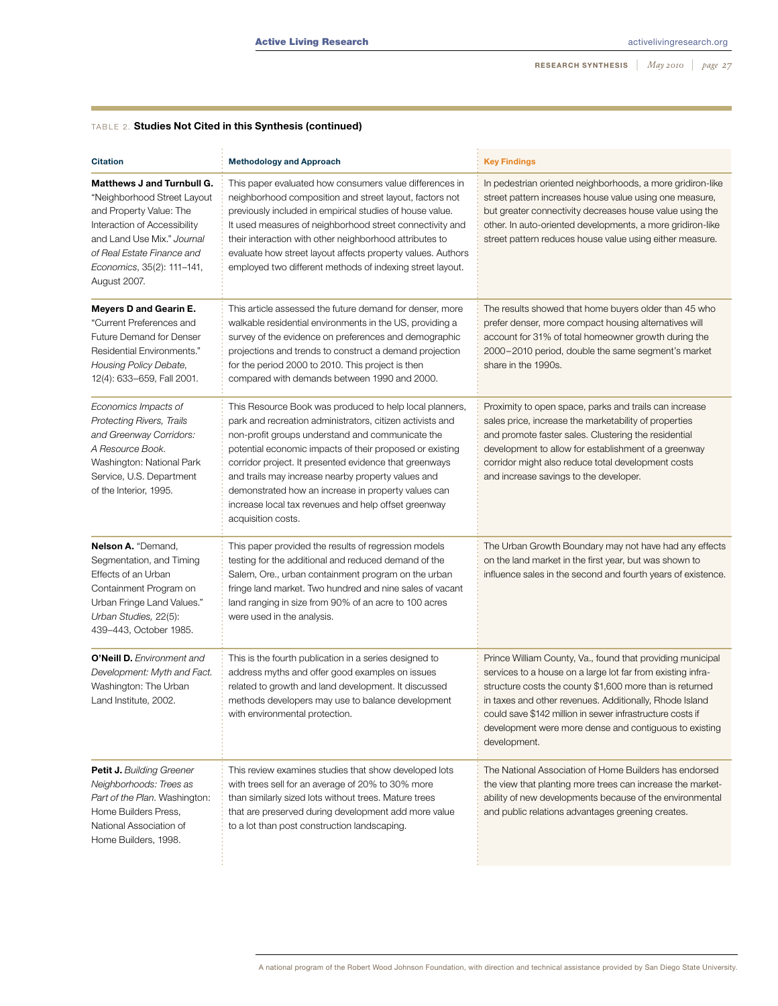| <b>Citation</b>                                                                                                                                                                                                                       | <b>Methodology and Approach</b>                                                                                                                                                                                                                                                                                                                                                                                                                                                           | <b>Key Findings</b>                                                                                                                                                                                                                                                                                                                                                                     |
|---------------------------------------------------------------------------------------------------------------------------------------------------------------------------------------------------------------------------------------|-------------------------------------------------------------------------------------------------------------------------------------------------------------------------------------------------------------------------------------------------------------------------------------------------------------------------------------------------------------------------------------------------------------------------------------------------------------------------------------------|-----------------------------------------------------------------------------------------------------------------------------------------------------------------------------------------------------------------------------------------------------------------------------------------------------------------------------------------------------------------------------------------|
| <b>Matthews J and Turnbull G.</b><br>"Neighborhood Street Layout<br>and Property Value: The<br>Interaction of Accessibility<br>and Land Use Mix." Journal<br>of Real Estate Finance and<br>Economics, 35(2): 111-141,<br>August 2007. | This paper evaluated how consumers value differences in<br>neighborhood composition and street layout, factors not<br>previously included in empirical studies of house value.<br>It used measures of neighborhood street connectivity and<br>their interaction with other neighborhood attributes to<br>evaluate how street layout affects property values. Authors<br>employed two different methods of indexing street layout.                                                         | In pedestrian oriented neighborhoods, a more gridiron-like<br>street pattern increases house value using one measure,<br>but greater connectivity decreases house value using the<br>other. In auto-oriented developments, a more gridiron-like<br>street pattern reduces house value using either measure.                                                                             |
| <b>Meyers D and Gearin E.</b><br>"Current Preferences and<br><b>Future Demand for Denser</b><br>Residential Environments."<br>Housing Policy Debate,<br>12(4): 633-659, Fall 2001.                                                    | This article assessed the future demand for denser, more<br>walkable residential environments in the US, providing a<br>survey of the evidence on preferences and demographic<br>projections and trends to construct a demand projection<br>for the period 2000 to 2010. This project is then<br>compared with demands between 1990 and 2000.                                                                                                                                             | The results showed that home buyers older than 45 who<br>prefer denser, more compact housing alternatives will<br>account for 31% of total homeowner growth during the<br>2000-2010 period, double the same segment's market<br>share in the 1990s.                                                                                                                                     |
| Economics Impacts of<br>Protecting Rivers, Trails<br>and Greenway Corridors:<br>A Resource Book.<br>Washington: National Park<br>Service, U.S. Department<br>of the Interior, 1995.                                                   | This Resource Book was produced to help local planners,<br>park and recreation administrators, citizen activists and<br>non-profit groups understand and communicate the<br>potential economic impacts of their proposed or existing<br>corridor project. It presented evidence that greenways<br>and trails may increase nearby property values and<br>demonstrated how an increase in property values can<br>increase local tax revenues and help offset greenway<br>acquisition costs. | Proximity to open space, parks and trails can increase<br>sales price, increase the marketability of properties<br>and promote faster sales. Clustering the residential<br>development to allow for establishment of a greenway<br>corridor might also reduce total development costs<br>and increase savings to the developer.                                                         |
| <b>Nelson A.</b> "Demand,<br>Segmentation, and Timing<br>Effects of an Urban<br>Containment Program on<br>Urban Fringe Land Values."<br>Urban Studies, 22(5):<br>439-443, October 1985.                                               | This paper provided the results of regression models<br>testing for the additional and reduced demand of the<br>Salem, Ore., urban containment program on the urban<br>fringe land market. Two hundred and nine sales of vacant<br>land ranging in size from 90% of an acre to 100 acres<br>were used in the analysis.                                                                                                                                                                    | The Urban Growth Boundary may not have had any effects<br>on the land market in the first year, but was shown to<br>influence sales in the second and fourth years of existence.                                                                                                                                                                                                        |
| <b>O'Neill D.</b> Environment and<br>Development: Myth and Fact.<br>Washington: The Urban<br>Land Institute, 2002.                                                                                                                    | This is the fourth publication in a series designed to<br>address myths and offer good examples on issues<br>related to growth and land development. It discussed<br>methods developers may use to balance development<br>with environmental protection.                                                                                                                                                                                                                                  | Prince William County, Va., found that providing municipal<br>services to a house on a large lot far from existing infra-<br>structure costs the county \$1,600 more than is returned<br>in taxes and other revenues. Additionally, Rhode Island<br>could save \$142 million in sewer infrastructure costs if<br>development were more dense and contiguous to existing<br>development. |
| Petit J. Building Greener<br>Neighborhoods: Trees as<br>Part of the Plan. Washington:<br>Home Builders Press,<br>National Association of<br>Home Builders, 1998.                                                                      | This review examines studies that show developed lots<br>with trees sell for an average of 20% to 30% more<br>than similarly sized lots without trees. Mature trees<br>that are preserved during development add more value<br>to a lot than post construction landscaping.                                                                                                                                                                                                               | The National Association of Home Builders has endorsed<br>the view that planting more trees can increase the market-<br>ability of new developments because of the environmental<br>and public relations advantages greening creates.                                                                                                                                                   |